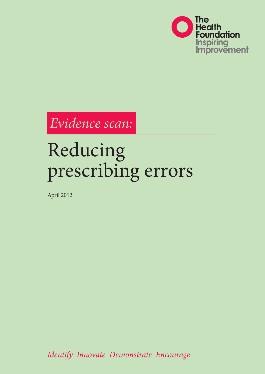

*Evidence scan:*

# Reducing prescribing errors

April 2012

*Identify Innovate Demonstrate Encourage*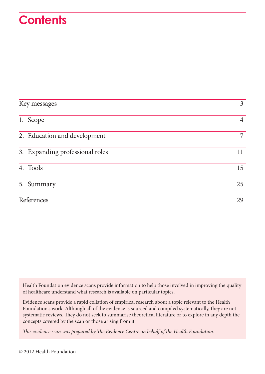## **Contents**

| Key messages |                                 | $\mathfrak{Z}$ |
|--------------|---------------------------------|----------------|
|              | 1. Scope                        | $\overline{4}$ |
|              | 2. Education and development    | $\overline{7}$ |
|              | 3. Expanding professional roles | 11             |
|              | 4. Tools                        | 15             |
|              | 5. Summary                      | 25             |
|              | References                      | 29             |

Health Foundation evidence scans provide information to help those involved in improving the quality of healthcare understand what research is available on particular topics.

Evidence scans provide a rapid collation of empirical research about a topic relevant to the Health Foundation's work. Although all of the evidence is sourced and compiled systematically, they are not systematic reviews. They do not seek to summarise theoretical literature or to explore in any depth the concepts covered by the scan or those arising from it.

*This evidence scan was prepared by The Evidence Centre on behalf of the Health Foundation.*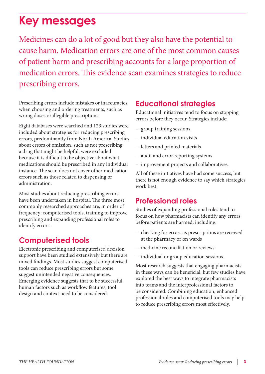## <span id="page-2-0"></span>**Key messages**

Medicines can do a lot of good but they also have the potential to cause harm. Medication errors are one of the most common causes of patient harm and prescribing accounts for a large proportion of medication errors. This evidence scan examines strategies to reduce prescribing errors.

Prescribing errors include mistakes or inaccuracies when choosing and ordering treatments, such as wrong doses or illegible prescriptions.

Eight databases were searched and 123 studies were included about strategies for reducing prescribing errors, predominantly from North America. Studies about errors of omission, such as not prescribing a drug that might be helpful, were excluded because it is difficult to be objective about what medications should be prescribed in any individual instance. The scan does not cover other medication errors such as those related to dispensing or administration.

Most studies about reducing prescribing errors have been undertaken in hospital. The three most commonly researched approaches are, in order of frequency: computerised tools, training to improve prescribing and expanding professional roles to identify errors.

## **Computerised tools**

Electronic prescribing and computerised decision support have been studied extensively but there are mixed findings. Most studies suggest computerised tools can reduce prescribing errors but some suggest unintended negative consequences. Emerging evidence suggests that to be successful, human factors such as workflow features, tool design and context need to be considered.

### **Educational strategies**

Educational initiatives tend to focus on stopping errors before they occur. Strategies include:

- group training sessions
- individual education visits
- letters and printed materials
- audit and error reporting systems
- improvement projects and collaboratives.

All of these initiatives have had some success, but there is not enough evidence to say which strategies work best.

### **Professional roles**

Studies of expanding professional roles tend to focus on how pharmacists can identify any errors before patients are harmed, including:

- checking for errors as prescriptions are received at the pharmacy or on wards
- medicine reconciliation or reviews
- individual or group education sessions.

Most research suggests that engaging pharmacists in these ways can be beneficial, but few studies have explored the best ways to integrate pharmacists into teams and the interprofessional factors to be considered. Combining education, enhanced professional roles and computerised tools may help to reduce prescribing errors most effectively.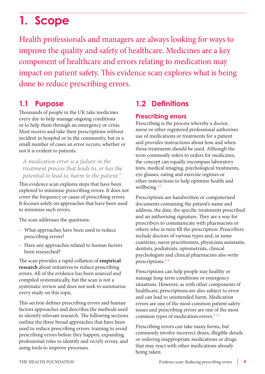## <span id="page-3-0"></span>**1. Scope**

Health professionals and managers are always looking for ways to improve the quality and safety of healthcare. Medicines are a key component of healthcare and errors relating to medication may impact on patient safety. This evidence scan explores what is being done to reduce prescribing errors.

### **1.1 Purpose**

Thousands of people in the UK take medicines every day to help manage ongoing conditions or to help them through an emergency or crisis. Most receive and take their prescriptions without incident in hospital or in the community, but in a small number of cases an error occurs, whether or not it is evident to patients.

*A medication error is a [failure in the](http://www.ncbi.nlm.nih.gov/pubmed/19458202)  [treatment process](http://www.ncbi.nlm.nih.gov/pubmed/19458202) that leads to, or has the potential to lead to, harm to the patient.1* 

This evidence scan explores steps that have been explored to minimise prescribing errors. It does not cover the frequency or cause of prescribing errors. It focuses solely on approaches that have been used to minimise such errors.

The scan addresses the questions:

- What approaches have been used to reduce prescribing errors?
- Have any approaches related to human factors been researched?

The scan provides a rapid collation of **empirical research** about initiatives to reduce prescribing errors. All of the evidence has been sourced and compiled systematically, but the scan is not a systematic review and does not seek to summarise every study on this topic.

This section defines prescribing errors and human factors approaches and describes the methods used to identify relevant research. The following sections outline the three broad approaches that have been used to reduce prescribing errors: training to avoid prescribing errors before they happen, expanding professional roles to identify and rectify errors, and using tools to improve processes.

## **1.2 Definitions**

#### **Prescribing errors**

Prescribing is the process whereby a doctor, nurse or other registered professional authorises use of medications or treatments for a patient and provides instructions about how and when those treatments should be used. Although the term commonly refers to orders for medicines, the concept can equally encompass laboratory tests, medical imaging, psychological treatments, eye glasses, eating and exercise regimes or other instructions to help optimise health and wellbeing.<sup>2,3</sup>

Prescriptions are handwritten or computerised documents containing the patient's name and address, the date, the specific treatments prescribed and an authorising signature. They are a way for prescribers to communicate with pharmacists or others who in turn fill the prescription. Prescribers include doctors of various types and, in some countries, nurse practitioners, physicians assistants, dentists, podiatrists, optometrists, clinical psychologists and clinical pharmacists also write prescriptions.4–6

Prescriptions can help people stay healthy or manage long-term conditions or emergency situations. However, as with other components of healthcare, prescriptions are also subject to error and can lead to unintended harm. Medication errors are one of the most common patient safety issues and prescribing errors are one of the most common types of medication errors.<sup>7-12</sup>

Prescribing errors can take many forms, but commonly involve incorrect doses, illegible details or ordering inappropriate medications or drugs that may react with other medications already being taken.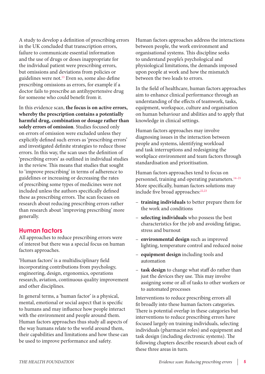A study to develop a [definition of prescribing errors](http://www.ncbi.nlm.nih.gov/pmc/articles/pmid/11101708/?tool=pubmed) in the UK concluded that transcription errors, failure to communicate essential information and the use of drugs or doses inappropriate for the individual patient were prescribing errors, but omissions and deviations from policies or guidelines were not.<sup>13</sup> Even so, some also define prescribing omissions as errors, for example if a doctor fails to prescribe an antihypertensive drug for someone who could benefit from it.

In this evidence scan, **the focus is on active errors, whereby the prescription contains a potentially harmful drug, combination or dosage rather than solely errors of omission**. Studies focused only on errors of omission were excluded unless they explicitly defined such errors as 'prescribing errors' and investigated definite strategies to reduce those errors. In this way, the scan uses the definition of 'prescribing errors' as outlined in individual studies in the review. This means that studies that sought to 'improve prescribing' in terms of adherence to guidelines or increasing or decreasing the rates of prescribing some types of medicines were not included unless the authors specifically defined these as prescribing errors. The scan focuses on research about reducing prescribing errors rather than research about 'improving prescribing' more generally.

#### **Human factors**

All approaches to reduce prescribing errors were of interest but there was a special focus on human factors approaches.

'Human factors' is a multidisciplinary field incorporating contributions from psychology, engineering, design, ergonomics, operations research, aviation, continuous quality improvement and other disciplines.

In general terms, a 'human factor' is a physical, mental, emotional or social aspect that is specific to humans and may influence how people interact with the environment and people around them. Human factors approaches thus study all aspects of the way humans relate to the world around them, their capabilities and limitations and how these can be used to improve performance and safety.

Human factors approaches address the interactions between people, the work environment and organisational systems. This discipline seeks to understand people's psychological and physiological limitations, the demands imposed upon people at work and how the mismatch between the two leads to errors.

In the field of healthcare, human factors approaches aim to enhance clinical performance through an understanding of the effects of teamwork, tasks, equipment, workspace, culture and organisation on human behaviour and abilities and to apply that knowledge in clinical settings.

Human factors approaches may involve diagnosing issues in the interaction between people and systems, identifying workload and task interruptions and redesigning the workplace environment and team factors through standardisation and prioritisation.

Human factors approaches tend to focus on personnel, training and operating parameters. $14-21$ More specifically, human factors solutions may include five broad approaches:<sup>22,23</sup>

- **training individuals** to better prepare them for the work and conditions
- **selecting individuals** who possess the best characteristics for the job and avoiding fatigue, stress and burnout
- **environmental design** such as improved lighting, temperature control and reduced noise
- **equipment design** including tools and automation
- **task design** to change what staff do rather than just the devices they use. This may involve assigning some or all of tasks to other workers or to automated processes

Interventions to reduce prescribing errors all fit broadly into these human factors categories. There is potential overlap in these categories but interventions to reduce prescribing errors have focused largely on training individuals, selecting individuals (pharmacist roles) and equipment and task design (including electronic systems). The following chapters describe research about each of these three areas in turn.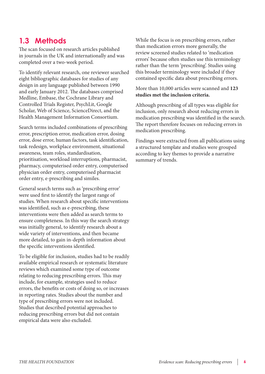## **1.3 Methods**

The scan focused on research articles published in journals in the UK and internationally and was completed over a two-week period.

To identify relevant research, one reviewer searched eight bibliographic databases for studies of any design in any language published between 1990 and early January 2012. The databases comprised Medline, Embase, the Cochrane Library and Controlled Trials Register, PsychLit, Google Scholar, Web of Science, ScienceDirect, and the Health Management Information Consortium.

Search terms included combinations of prescribing error, prescription error, medication error, dosing error, dose error, human factors, task identification, task redesign, workplace environment, situational awareness, team roles, standardisation, prioritisation, workload interruptions, pharmacist, pharmacy, computerised order entry, computerised physician order entry, computerised pharmacist order entry, e-prescribing and similes.

General search terms such as 'prescribing error' were used first to identify the largest range of studies. When research about specific interventions was identified, such as e-prescribing, these interventions were then added as search terms to ensure completeness. In this way the search strategy was initially general, to identify research about a wide variety of interventions, and then became more detailed, to gain in-depth information about the specific interventions identified.

To be eligible for inclusion, studies had to be readily available empirical research or systematic literature reviews which examined some type of outcome relating to reducing prescribing errors. This may include, for example, strategies used to reduce errors, the benefits or costs of doing so, or increases in reporting rates. Studies about the number and type of prescribing errors were not included. Studies that described potential approaches to reducing prescribing errors but did not contain empirical data were also excluded.

While the focus is on prescribing errors, rather than medication errors more generally, the review screened studies related to 'medication errors' because often studies use this terminology rather than the term 'prescribing'. Studies using this broader terminology were included if they contained specific data about prescribing errors.

More than 10,000 articles were scanned and **123 studies met the inclusion criteria.** 

Although prescribing of all types was eligible for inclusion, only research about reducing errors in medication prescribing was identified in the search. The report therefore focuses on reducing errors in medication prescribing.

Findings were extracted from all publications using a structured template and studies were grouped according to key themes to provide a narrative summary of trends.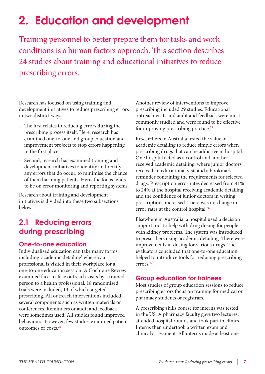## <span id="page-6-0"></span>**2. Education and development**

Training personnel to better prepare them for tasks and work conditions is a human factors approach. This section describes 24 studies about training and educational initiatives to reduce prescribing errors.

Research has focused on using training and development initiatives to reduce prescribing errors in two distinct ways.

- The first relates to reducing errors **during** the prescribing process itself. Here, research has examined one-to-one and group education and improvement projects to stop errors happening in the first place.
- Second, research has examined training and development initiatives to identify and rectify any errors that do occur, to minimise the chance of them harming patients. Here, the focus tends to be on error monitoring and reporting systems.

Research about training and development initiatives is divided into these two subsections below.

## **2.1 Reducing errors during prescribing**

#### **One-to-one education**

Individualised education can take many forms, including 'academic detailing' whereby a professional is visited in their workplace for a one-to-one education session. A [Cochrane Review](http://www.ncbi.nlm.nih.gov/pubmed/10796542) examined face-to-face outreach visits by a trained person to a health professional. 18 randomised trials were included, 13 of which targeted prescribing. All outreach interventions included several components such as written materials or conferences. Reminders or audit and feedback were sometimes used. All studies found improved behaviours. However, few studies examined patient outcomes or costs.24

Another [review](http://www.ncbi.nlm.nih.gov/pubmed/19261953) of interventions to improve prescribing included 29 studies. Educational outreach visits and audit and feedback were most commonly studied and were found to be effective for improving prescribing practice.<sup>25</sup>

Researchers in Australia tested the value of [academic detailing](http://www.ncbi.nlm.nih.gov/pubmed/14566443) to reduce simple errors when prescribing drugs that can be addictive in hospital. One hospital acted as a control and another received academic detailing, where junior doctors received an educational visit and a bookmark reminder containing the requirements for selected drugs. Prescription error rates decreased from 41% to 24% at the hospital receiving academic detailing and the confidence of junior doctors in writing prescriptions increased. There was no change in error rates at the control hospital.<sup>26</sup>

Elsewhere in Australia, a hospital used a decision support tool to help with drug dosing for people with kidney problems. The system was introduced to prescribers using academic detailing. There were improvements in dosing for various drugs. The evaluators concluded that [one-to-one education](http://www.ncbi.nlm.nih.gov/pmc/articles/pmid/20442149/?tool=pubmed) helped to introduce tools for reducing prescribing errors.27

#### **Group education for trainees**

Most studies of group education sessions to reduce prescribing errors focus on training for medical or pharmacy students or registrars.

A prescribing skills course for interns was tested in the [US.](http://www.ncbi.nlm.nih.gov/pubmed/17987410) A pharmacy faculty gave two lectures, attended hospital rounds and took part in clinics. Interns then undertook a written exam and clinical assessment. All interns made at least one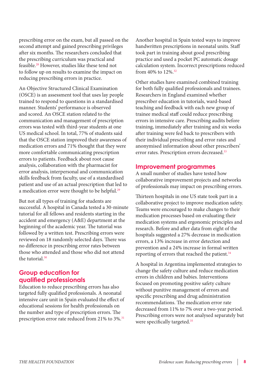prescribing error on the exam, but all passed on the second attempt and gained prescribing privileges after six months. The researchers concluded that the prescribing curriculum was practical and feasible.28 However, studies like these tend not to follow up on results to examine the impact on reducing prescribing errors in practice.

An Objective Structured Clinical Examination (OSCE) is an [assessment tool](http://www.ncbi.nlm.nih.gov/pubmed/17283941) that uses lay people trained to respond to questions in a standardised manner. Students' performance is observed and scored. An OSCE station related to the communication and management of prescription errors was tested with third-year students at one US medical school. In total, 77% of students said that the OSCE station improved their awareness of medication errors and 71% thought that they were more comfortable communicating prescription errors to patients. Feedback about root cause analysis, collaboration with the pharmacist for error analysis, interpersonal and communication skills feedback from faculty, use of a standardised patient and use of an actual prescription that led to a medication error were thought to be helpful.<sup>29</sup>

But not all types of training for students are successful. A hospital in Canada tested a 30-minute [tutorial](http://www.ncbi.nlm.nih.gov/pubmed/17085777) for all fellows and residents starting in the accident and emergency (A&E) department at the beginning of the academic year. The tutorial was followed by a written test. Prescribing errors were reviewed on 18 randomly selected days. There was no difference in prescribing error rates between those who attended and those who did not attend the tutorial.30

#### **Group education for qualified professionals**

Education to reduce prescribing errors has also targeted fully qualified professionals. A neonatal intensive care unit in [Spain](http://www.ncbi.nlm.nih.gov/pubmed/19389122) evaluated the effect of educational sessions for health professionals on the number and type of prescription errors. The prescription error rate reduced from 21% to 3%.<sup>31</sup>

Another hospital in [Spain](http://www.ncbi.nlm.nih.gov/pubmed/18032911) tested ways to improve handwritten prescriptions in neonatal units. Staff took part in training about good prescribing practice and used a pocket PC automatic dosage calculation system. Incorrect prescriptions reduced from 40% to 12%.32

Other studies have examined combined training for both fully qualified professionals and trainees. Researchers in [England](http://www.ncbi.nlm.nih.gov/pubmed/18842975) examined whether prescriber education in tutorials, ward-based teaching and feedback with each new group of trainee medical staff could reduce prescribing errors in intensive care. Prescribing audits before training, immediately after training and six weeks after training were fed back to prescribers with their individual prescribing and error rates and anonymised information about other prescribers' error rates. Prescription errors decreased.<sup>33</sup>

#### **Improvement programmes**

A small number of studies have tested how collaborative improvement projects and networks of professionals may impact on prescribing errors.

Thirteen hospitals in one US state took part in a [collaborative](http://www.ncbi.nlm.nih.gov/pubmed/10840665) project to improve medication safety. Teams were encouraged to make changes to their medication processes based on evaluating their medication systems and ergonomic principles and research. Before and after data from eight of the hospitals suggested a 27% decrease in medication errors, a 13% increase in error detection and prevention and a 24% increase in formal written reporting of errors that reached the patient.<sup>34</sup>

A hospital in Argentina implemented strategies to [change the safety culture](http://www.ncbi.nlm.nih.gov/pubmed/18762510) and reduce medication errors in children and babies. Interventions focused on promoting positive safety culture without punitive management of errors and specific prescribing and drug administration recommendations. The medication error rate decreased from 11% to 7% over a two-year period. Prescribing errors were not analysed separately but were specifically targeted.<sup>35</sup>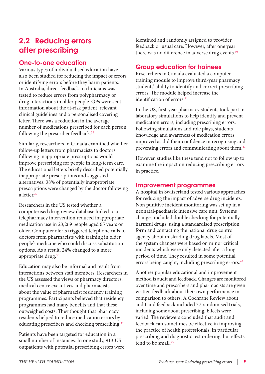## **2.2 Reducing errors after prescribing**

#### **One-to-one education**

Various types of individualised education have also been studied for reducing the impact of errors or identifying errors before they harm patients. In Australia, direct feedback to clinicians was tested to reduce errors from polypharmacy or drug interactions in older people. GPs were sent information about the at-risk patient, relevant clinical guidelines and a personalised covering [letter.](http://www.ncbi.nlm.nih.gov/pubmed/18005132) There was a reduction in the average number of medications prescribed for each person following the prescriber feedback.<sup>36</sup>

Similarly, researchers in Canada examined whether [follow-up letters](http://www.ncbi.nlm.nih.gov/pubmed/11493935) from pharmacists to doctors following inappropriate prescriptions would improve prescribing for people in long-term care. The educational letters briefly described potentially inappropriate prescriptions and suggested alternatives. 38% of potentially inappropriate prescriptions were changed by the doctor following a letter $37$ 

Researchers in the US tested whether a computerised drug review database linked to a telepharmacy intervention reduced inappropriate medication use in 23,269 people aged 65 years or older. Computer alerts triggered [telephone calls to](http://www.ncbi.nlm.nih.gov/pubmed/9786375)  [doctors](http://www.ncbi.nlm.nih.gov/pubmed/9786375) from pharmacists with training in older people's medicine who could discuss substitution options. As a result, 24% changed to a more appropriate drug.<sup>38</sup>

Education may also be informal and result from interactions between staff members. Researchers in the US assessed the views of pharmacy directors, medical centre executives and pharmacists about the value of pharmacist residency training programmes. Participants believed that residency programmes had many benefits and that these outweighed costs. They thought that [pharmacy](http://www.ncbi.nlm.nih.gov/pubmed/22215362)  [residents](http://www.ncbi.nlm.nih.gov/pubmed/22215362) helped to reduce medication errors by educating prescribers and checking prescribing.<sup>39</sup>

[Patients](http://www.ncbi.nlm.nih.gov/pmc/articles/pmid/17460134/?tool=pubmed) have been targeted for education in a small number of instances. In one study, 913 US outpatients with potential prescribing errors were identified and randomly assigned to provider feedback or usual care. However, after one year there was no difference in adverse drug events.<sup>40</sup>

#### **Group education for trainees**

Researchers in Canada evaluated a [computer](http://www.ncbi.nlm.nih.gov/pmc/articles/pmid/19885070/?tool=pubmed)  [training module](http://www.ncbi.nlm.nih.gov/pmc/articles/pmid/19885070/?tool=pubmed) to improve third-year pharmacy students' ability to identify and correct prescribing errors. The module helped increase the identification of errors.<sup>41</sup>

In the US, first-year pharmacy students took part in laboratory [simulations](http://www.ncbi.nlm.nih.gov/pmc/articles/pmid/19885068/?tool=pubmed) to help identify and prevent medication errors, including prescribing errors. Following simulations and role plays, students' knowledge and awareness of medication errors improved as did their confidence in recognising and preventing errors and communicating about them.<sup>42</sup>

However, studies like these tend not to follow up to examine the impact on reducing prescribing errors in practice.

#### **Improvement programmes**

A hospital in [Switzerland](http://www.ncbi.nlm.nih.gov/pubmed/12424584) tested various approaches for reducing the impact of adverse drug incidents. Non punitive incident monitoring was set up in a neonatal-paediatric intensive care unit. Systems changes included double checking for potentially harmful drugs, using a standardised prescription form and contacting the national drug control agency about misleading drug labels. Most of the system changes were based on minor critical incidents which were only detected after a long period of time. They resulted in some potential errors being caught, including prescribing errors.<sup>43</sup>

Another popular educational and improvement method is audit and feedback. Changes are monitored over time and prescribers and pharmacists are given written feedback about their own performance in comparison to others. A Cochrane Review about [audit and feedback](http://www.ncbi.nlm.nih.gov/pubmed/10796520) included 37 randomised trials, including some about prescribing. Effects were varied. The reviewers concluded that audit and feedback can sometimes be effective in improving the practice of health professionals, in particular prescribing and diagnostic test ordering, but effects tend to be small.<sup>44</sup>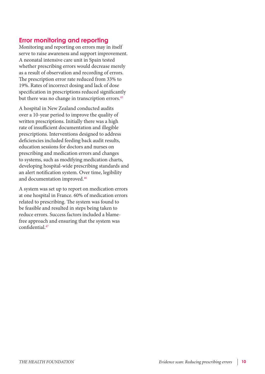#### **Error monitoring and reporting**

Monitoring and reporting on errors may in itself serve to raise awareness and support improvement. A neonatal intensive care unit in [Spain](http://www.ncbi.nlm.nih.gov/pubmed/18710435) tested whether prescribing errors would decrease merely as a result of observation and recording of errors. The prescription error rate reduced from 33% to 19%. Rates of incorrect dosing and lack of dose specification in prescriptions reduced significantly but there was no change in transcription errors.<sup>45</sup>

A hospital in [New Zealand](http://www.ncbi.nlm.nih.gov/pubmed/18298560) conducted audits over a 10-year period to improve the quality of written prescriptions. Initially there was a high rate of insufficient documentation and illegible prescriptions. Interventions designed to address deficiencies included feeding back audit results, education sessions for doctors and nurses on prescribing and medication errors and changes to systems, such as modifying medication charts, developing hospital-wide prescribing standards and an alert notification system. Over time, legibility and documentation improved.46

A system was set up to report on medication errors at one hospital in [France](http://www.ncbi.nlm.nih.gov/pubmed/21210845). 60% of medication errors related to prescribing. The system was found to be feasible and resulted in steps being taken to reduce errors. Success factors included a blamefree approach and ensuring that the system was  $confidential$ <sup> $47$ </sup>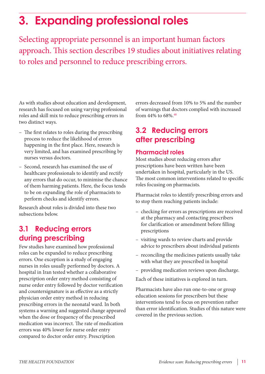## <span id="page-10-0"></span>**3. Expanding professional roles**

Selecting appropriate personnel is an important human factors approach. This section describes 19 studies about initiatives relating to roles and personnel to reduce prescribing errors.

As with studies about education and development, research has focused on using varying professional roles and skill mix to reduce prescribing errors in two distinct ways.

- The first relates to roles during the prescribing process to reduce the likelihood of errors happening in the first place. Here, research is very limited, and has examined prescribing by nurses versus doctors.
- Second, research has examined the use of healthcare professionals to identify and rectify any errors that do occur, to minimise the chance of them harming patients. Here, the focus tends to be on expanding the role of pharmacists to perform checks and identify errors.

Research about roles is divided into these two subsections below.

### **3.1 Reducing errors during prescribing**

Few studies have examined how professional roles can be expanded to reduce prescribing errors. One exception is a study of engaging nurses in roles usually performed by doctors. A hospital in Iran tested whether a collaborative prescription order entry method consisting of [nurse](http://www.ncbi.nlm.nih.gov/pmc/articles/pmid/20185400/?tool=pubmed) order entry followed by doctor verification and countersignature is as effective as a strictly physician order entry method in reducing prescribing errors in the neonatal ward. In both systems a warning and suggested change appeared when the dose or frequency of the prescribed medication was incorrect. The rate of medication errors was 40% lower for nurse order entry compared to doctor order entry. Prescription

errors decreased from 10% to 5% and the number of warnings that doctors complied with increased from 44% to 68%.48

## **3.2 Reducing errors after prescribing**

#### **Pharmacist roles**

Most studies about reducing errors after prescriptions have been written have been undertaken in hospital, particularly in the US. The most common interventions related to specific roles focusing on pharmacists.

Pharmacist roles to identify prescribing errors and to stop them reaching patients include:

- checking for errors as prescriptions are received at the pharmacy and contacting prescribers for clarification or amendment before filling prescriptions
- visiting wards to review charts and provide advice to prescribers about individual patients
- reconciling the medicines patients usually take with what they are prescribed in hospital
- providing medication reviews upon discharge.

Each of these initiatives is explored in turn.

Pharmacists have also run one-to-one or group education sessions for prescribers but these interventions tend to focus on prevention rather than error identification. Studies of this nature were covered in the previous section.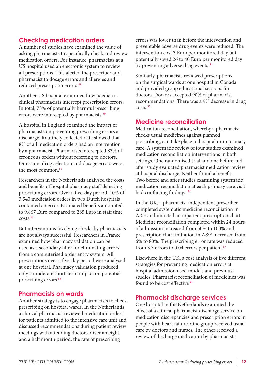#### **Checking medication orders**

A number of studies have examined the value of asking pharmacists to specifically check and review medication orders. For instance, pharmacists at a [US](http://www.ncbi.nlm.nih.gov/pubmed/17667207) hospital used an electronic system to review all prescriptions. This alerted the prescriber and pharmacist to dosage errors and allergies and reduced prescription errors.<sup>49</sup>

Another [US](http://www.ncbi.nlm.nih.gov/pubmed/17200262) hospital examined how paediatric clinical pharmacists intercept prescription errors. In total, 78% of potentially harmful prescribing errors were intercepted by pharmacists.<sup>50</sup>

A hospital in [England](http://www.ncbi.nlm.nih.gov/pubmed/20925440) examined the impact of pharmacists on preventing prescribing errors at discharge. Routinely collected data showed that 8% of all medication orders had an intervention by a pharmacist. Pharmacists intercepted 83% of erroneous orders without referring to doctors. Omission, drug selection and dosage errors were the most common.<sup>51</sup>

Researchers in the [Netherlands](http://www.ncbi.nlm.nih.gov/pubmed/11888354) analysed the costs and benefits of hospital pharmacy staff detecting prescribing errors. Over a five-day period, 10% of 3,540 medication orders in two Dutch hospitals contained an error. Estimated benefits amounted to 9,867 Euro compared to 285 Euro in staff time  $costs<sup>52</sup>$ 

But interventions involving checks by pharmacists are not always successful. Researchers in France examined how [pharmacy validation](http://www.ncbi.nlm.nih.gov/pubmed/17599923) can be used as a secondary filter for eliminating errors from a computerised order entry system. All prescriptions over a five-day period were analysed at one hospital. Pharmacy validation produced only a moderate short-term impact on potential prescribing errors.<sup>53</sup>

#### **Pharmacists on wards**

Another strategy is to engage pharmacists to check prescribing on hospital wards. In the [Netherlands](http://www.ncbi.nlm.nih.gov/pmc/articles/pmid/20920322/?tool=pubmed), a clinical pharmacist reviewed medication orders for patients admitted to the intensive care unit and discussed recommendations during patient review meetings with attending doctors. Over an eight and a half month period, the rate of prescribing

errors was lower than before the intervention and preventable adverse drug events were reduced. The intervention cost 3 Euro per monitored day but potentially saved 26 to 40 Euro per monitored day by preventing adverse drug events.<sup>54</sup>

Similarly, pharmacists reviewed prescriptions on the surgical wards at one hospital in [Canada](http://www.ncbi.nlm.nih.gov/pubmed/10152783) and provided group educational sessions for doctors. Doctors accepted 90% of pharmacist recommendations. There was a 9% decrease in drug  $costs$ <sup>55</sup>

#### **Medicine reconciliation**

Medication reconciliation, whereby a pharmacist checks usual medicines against planned prescribing, can take place in hospital or in primary care. A [systematic review](http://www.ncbi.nlm.nih.gov/pubmed/19737997) of four studies examined medication reconciliation interventions in both settings. One randomised trial and one before and after study evaluated pharmacist medication review at hospital discharge. Neither found a benefit. Two before and after studies examining systematic medication reconciliation at each primary care visit had conflicting findings.<sup>56</sup>

In the [UK,](http://www.ncbi.nlm.nih.gov/pubmed/20978003) a pharmacist independent prescriber completed systematic medicine reconciliation in A&E and initiated an inpatient prescription chart. Medicine reconciliation completed within 24 hours of admission increased from 50% to 100% and prescription chart initiation in A&E increased from 6% to 80%. The prescribing error rate was reduced from 3.3 errors to 0.04 errors per patient.<sup>57</sup>

Elsewhere in the [UK,](http://www.ncbi.nlm.nih.gov/pubmed/19335488) a cost analysis of five different strategies for preventing medication errors at hospital admission used models and previous studies. Pharmacist reconciliation of medicines was found to be cost effective<sup>58</sup>

#### **Pharmacist discharge services**

One hospital in the [Netherlands](http://www.ncbi.nlm.nih.gov/pmc/articles/pmid/20809276/?tool=pubmed) examined the effect of a clinical pharmacist discharge service on medication discrepancies and prescription errors in people with heart failure. One group received usual care by doctors and nurses. The other received a review of discharge medication by pharmacists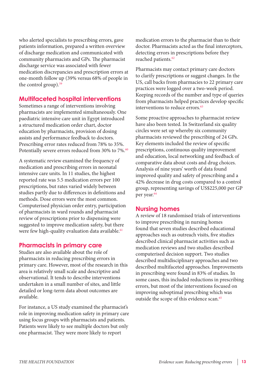who alerted specialists to prescribing errors, gave patients information, prepared a written overview of discharge medication and communicated with community pharmacists and GPs. The pharmacist discharge service was associated with fewer medication discrepancies and prescription errors at one-month follow up (39% versus 68% of people in the control group).<sup>59</sup>

#### **Multifaceted hospital interventions**

Sometimes a range of interventions involving pharmacists are implemented simultaneously. One paediatric intensive care unit in [Egypt](http://www.ncbi.nlm.nih.gov/pubmed/21418100) introduced a structured medication order chart, doctor education by pharmacists, provision of dosing assists and performance feedback to doctors. Prescribing error rates reduced from 78% to 35%. Potentially severe errors reduced from 30% to 7%.<sup>60</sup>

A [systematic review](http://www.ncbi.nlm.nih.gov/pubmed/17536876) examined the frequency of medication and prescribing errors in neonatal intensive care units. In 11 studies, the highest reported rate was 5.5 medication errors per 100 prescriptions, but rates varied widely between studies partly due to differences in definitions and methods. Dose errors were the most common. Computerised physician order entry, participation of pharmacists in ward rounds and pharmacist review of prescriptions prior to dispensing were suggested to improve medication safety, but there were few high-quality evaluation data available.<sup>61</sup>

#### **Pharmacists in primary care**

Studies are also available about the role of pharmacists in reducing prescribing errors in primary care. However, most of the research in this area is relatively small scale and descriptive and observational. It tends to describe interventions undertaken in a small number of sites, and little detailed or long-term data about outcomes are available.

For instance, a [US](http://www.ncbi.nlm.nih.gov/pubmed/16415659) study examined the pharmacist's role in improving medication safety in primary care using focus groups with pharmacists and patients. Patients were likely to see multiple doctors but only one pharmacist. They were more likely to report

medication errors to the pharmacist than to their doctor. Pharmacists acted as the final interceptors, detecting errors in prescriptions before they reached patients.<sup>62</sup>

Pharmacists may contact primary care doctors to clarify prescriptions or suggest changes. In the US, [call backs](http://www.ncbi.nlm.nih.gov/pubmed/16492002) from pharmacies to 22 primary care practices were logged over a two-week period. Keeping records of the number and type of queries from pharmacists helped practices develop specific interventions to reduce errors.<sup>63</sup>

Some proactive approaches to pharmacist review have also been tested. In Switzerland six [quality](http://www.ncbi.nlm.nih.gov/pubmed/20215496)  [circles](http://www.ncbi.nlm.nih.gov/pubmed/20215496) were set up whereby six community pharmacists reviewed the prescribing of 24 GPs. Key elements included the review of specific prescriptions, continuous quality improvement and education, local networking and feedback of comparative data about costs and drug choices. Analysis of nine years' worth of data found improved quality and safety of prescribing and a 42% decrease in drug costs compared to a control group, representing savings of US\$225,000 per GP per year.<sup>64</sup>

#### **Nursing homes**

A [review](http://www.ncbi.nlm.nih.gov/pmc/articles/pmid/20624609/?tool=pubmed) of 18 randomised trials of interventions to improve prescribing in nursing homes found that seven studies described educational approaches such as outreach visits, five studies described clinical pharmacist activities such as medication reviews and two studies described computerised decision support. Two studies described multidisciplinary approaches and two described multifaceted approaches. Improvements in prescribing were found in 83% of studies. In some cases, this included reductions in prescribing errors, but most of the interventions focused on improving suboptimal prescribing which was outside the scope of this evidence scan.<sup>65</sup>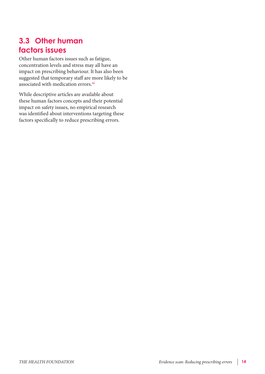## **3.3 Other human factors issues**

Other human factors issues such as fatigue, concentration levels and stress may all have an impact on prescribing behaviour. It has also been suggested that [temporary staff](http://www.ncbi.nlm.nih.gov/pubmed/21733020) are more likely to be associated with medication errors.<sup>66</sup>

While descriptive articles are available about these human factors concepts and their potential impact on safety issues, no empirical research was identified about interventions targeting these factors specifically to reduce prescribing errors.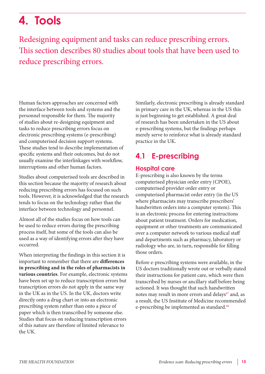## <span id="page-14-0"></span>**4. Tools**

Redesigning equipment and tasks can reduce prescribing errors. This section describes 80 studies about tools that have been used to reduce prescribing errors.

Human factors approaches are concerned with the interface between tools and systems and the personnel responsible for them. The majority of studies about re-designing equipment and tasks to reduce prescribing errors focus on electronic prescribing systems (e-prescribing) and computerised decision support systems. These studies tend to describe implementation of specific systems and their outcomes, but do not usually examine the interlinkages with workflow, interruptions and other human factors.

Studies about computerised tools are described in this section because the majority of research about reducing prescribing errors has focused on such tools. However, it is acknowledged that the research tends to focus on the technology rather than the interface between technology and personnel.

Almost all of the studies focus on how tools can be used to reduce errors during the prescribing process itself, but some of the tools can also be used as a way of identifying errors after they have occurred.

When interpreting the findings in this section it is important to remember that there are **differences in prescribing and in the roles of pharmacists in various countries**. For example, electronic systems have been set up to reduce transcription errors but transcription errors do not apply in the same way in the UK as in the US. In the UK, doctors write directly onto a drug chart or into an electronic prescribing system rather than onto a piece of paper which is then transcribed by someone else. Studies that focus on reducing transcription errors of this nature are therefore of limited relevance to the UK.

Similarly, electronic prescribing is already standard in primary care in the UK, whereas in the US this is just beginning to get established. A great deal of research has been undertaken in the US about e-prescribing systems, but the findings perhaps merely serve to reinforce what is already standard practice in the UK.

## **4.1 E-prescribing**

#### **Hospital care**

E-prescribing is also known by the terms computerised physician order entry (CPOE), computerised provider order entry or computerised pharmacist order entry (in the US where pharmacists may transcribe prescribers' handwritten orders into a computer system). This is an electronic process for entering instructions about patient treatment. Orders for medication, equipment or other treatments are communicated over a [computer network](http://en.wikipedia.org/wiki/Computer_network) to various medical staff and departments such as [pharmacy](http://en.wikipedia.org/wiki/Pharmacy), laboratory or [radiology](http://en.wikipedia.org/wiki/Radiology) who are, in turn, responsible for filling those orders.

Before e-prescribing systems were available, in the US doctors traditionally wrote out or verbally stated their instructions for patient care, which were then [transcribed](http://en.wikipedia.org/wiki/Transcription_(linguistics)) by nurses or ancillary staff before being actioned. It was thought that such handwritten notes may result in more errors and delays<sup>67</sup> and, as a result, the US Institute of Medicine recommended e-prescribing be implemented as standard.<sup>68</sup>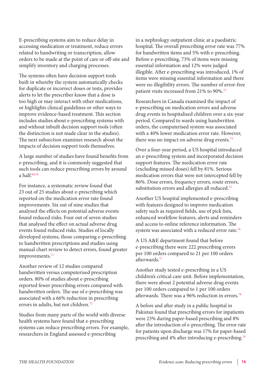E-prescribing systems aim to reduce delay in accessing medication or treatment, reduce errors related to handwriting or [transcription,](http://en.wikipedia.org/wiki/Transcription_(linguistics)) allow orders to be made at the point of care or off-site and simplify inventory and charging processes.

The systems often have decision support tools built in whereby the system automatically checks for duplicate or incorrect doses or tests, provides alerts to let the prescriber know that a dose is too high or may interact with other medications, or highlights clinical guidelines or other ways to improve evidence-based treatment. This section includes studies about e-prescribing systems with and without inbuilt decision support tools (often the distinction is not made clear in the studies). The next subsection examines research about the impacts of decision support tools themselves.

A large number of studies have found benefits from e-prescribing, and it is commonly suggested that such tools can [reduce](http://www.ncbi.nlm.nih.gov/pubmed/21938969) prescribing errors by [around](http://www.ncbi.nlm.nih.gov/pmc/articles/pmid/17662088/?tool=pubmed)  [a half.](http://www.ncbi.nlm.nih.gov/pmc/articles/pmid/17662088/?tool=pubmed) 69,70

For instance, a [systematic review](http://www.ncbi.nlm.nih.gov/pmc/articles/pmid/18579832/?tool=pubmed) found that 23 out of 25 studies about e-prescribing which reported on the medication error rate found improvements. Six out of nine studies that analysed the effects on potential adverse events found reduced risks. Four out of seven studies that analysed the effect on actual adverse drug events found reduced risks. Studies of locally developed systems, those comparing e-prescribing to handwritten prescriptions and studies using manual chart review to detect errors, found greater improvements.<sup>71</sup>

Another review of 12 studies compared handwritten versus computerised prescription orders. 80% of studies about e-prescribing reported fewer prescribing errors compared with handwritten orders. The use of e-prescribing was associated with a 66% reduction in prescribing errors in [adults](http://www.ncbi.nlm.nih.gov/pmc/articles/pmid/18211517/?tool=pubmed), but not children.<sup>72</sup>

Studies from many parts of the world with diverse health systems have found that e-prescribing systems can reduce prescribing errors. For example, researchers in [England](http://www.ncbi.nlm.nih.gov/pubmed/18206691) assessed e-prescribing

in a nephrology outpatient clinic at a paediatric hospital. The overall prescribing error rate was 77% for handwritten items and 5% with e-prescribing. Before e-prescribing, 73% of items were missing essential information and 12% were judged illegible. After e-prescribing was introduced, 1% of items were missing essential information and there were no illegibility errors. The number of error-free patient visits increased from 21% to 90%.<sup>73</sup>

Researchers in [Canada](http://www.ncbi.nlm.nih.gov/pubmed/12949274) examined the impact of e-prescribing on medication errors and adverse drug events in hospitalised children over a six-year period. Compared to wards using handwritten orders, the computerised system was associated with a 40% lower medication error rate. However, there was no impact on adverse drug events.<sup>74</sup>

Over a four-year period, a [US](http://www.ncbi.nlm.nih.gov/pmc/articles/pmid/10428004/?tool=pubmed) hospital introduced an e-prescribing system and incorporated decision support features. The medication error rate (excluding missed doses) fell by 81%. Serious medication errors that were not intercepted fell by 86%. Dose errors, frequency errors, route errors, substitution errors and allergies all reduced.<sup>75</sup>

Another [US](http://www.ncbi.nlm.nih.gov/pubmed/11593885) hospital implemented e-prescribing with features designed to improve medication safety such as required fields, use of pick lists, enhanced workflow features, alerts and reminders and access to online reference information. The system was associated with a reduced error rate.<sup>76</sup>

A [US A&E](http://www.ncbi.nlm.nih.gov/pubmed/18693965) department found that before e-prescribing there were 222 prescribing errors per 100 orders compared to 21 per 100 orders afterwards.77

Another study tested e-prescribing in a [US](http://www.ncbi.nlm.nih.gov/pubmed/14702449)  [children's critical care unit](http://www.ncbi.nlm.nih.gov/pubmed/14702449). Before implementation, there were about 2 potential adverse drug events per 100 orders compared to 1 per 100 orders afterwards. There was a 96% reduction in errors.78

A before and after study in a public hospital in [Pakistan](http://www.ncbi.nlm.nih.gov/pubmed/21627699) found that prescribing errors for inpatients were 23% during paper-based prescribing and 8% after the introduction of e-prescribing. The error rate for patients upon discharge was 17% for paper-based prescribing and 4% after introducing e-prescribing.79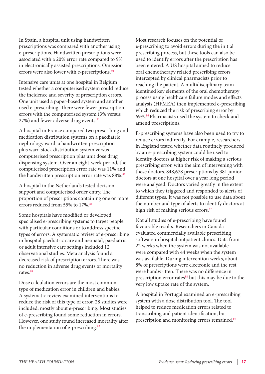In [Spain,](http://www.ncbi.nlm.nih.gov/pubmed/21074470) a hospital unit using handwritten prescriptions was compared with another using e-prescriptions. Handwritten prescriptions were associated with a 20% error rate compared to 9% in electronically assisted prescriptions. Omission errors were also lower with e-prescriptions.<sup>80</sup>

Intensive care units at one hospital in [Belgium](http://www.ncbi.nlm.nih.gov/pmc/articles/pmid/16469126/?tool=pubmed) tested whether a computerised system could reduce the incidence and severity of prescription errors. One unit used a paper-based system and another used e-prescribing. There were fewer prescription errors with the computerised system (3% versus 27%) and fewer adverse drug events.<sup>81</sup>

A hospital in [France](http://www.ncbi.nlm.nih.gov/pubmed/12840964) compared two prescribing and medication distribution systems on a paediatric nephrology ward: a handwritten prescription plus ward stock distribution system versus computerised prescription plus unit dose drug dispensing system. Over an eight-week period, the computerised prescription error rate was 11% and the handwritten prescription error rate was 88%.<sup>82</sup>

A hospital in the [Netherlands](http://www.ncbi.nlm.nih.gov/pmc/articles/pmid/19717798/?tool=pubmed) tested decision support and computerised order entry. The proportion of prescriptions containing one or more errors reduced from 55% to 17%.<sup>83</sup>

Some hospitals have modified or developed specialised e-prescribing systems to target people with particular conditions or to address specific types of errors. A systematic review of e-prescribing in hospital paediatric care and neonatal, paediatric or adult intensive care settings included 12 observational studies. [Meta analysis](http://www.ncbi.nlm.nih.gov/pubmed/19336379) found a decreased risk of prescription errors. There was no reduction in adverse drug events or mortality rates.84

Dose calculation errors are the most common type of medication error in [children and babies](http://www.ncbi.nlm.nih.gov/pubmed/18035864). A systematic review examined interventions to reduce the risk of this type of error. 28 studies were included, mostly about e-prescribing. Most studies of e-prescribing found some reduction in errors. However, one study found increased mortality after the implementation of e-prescribing.<sup>85</sup>

Most research focuses on the potential of e-prescribing to avoid errors during the initial prescribing process, but these tools can also be used to identify errors after the prescription has been entered. A [US](http://www.ncbi.nlm.nih.gov/pubmed/21084323) hospital aimed to reduce oral chemotherapy related prescribing errors intercepted by clinical pharmacists prior to reaching the patient. A multidisciplinary team identified key elements of the oral chemotherapy process using healthcare failure modes and effects analysis (HFMEA) then implemented e-prescribing which reduced the risk of prescribing error by 69%.86 Pharmacists used the system to check and amend prescriptions.

E-prescribing systems have also been used to try to reduce errors indirectly. For example, researchers in [England](http://www.ncbi.nlm.nih.gov/pmc/articles/pmid/21558099/?tool=pubmed) tested whether data routinely produced by an e-prescribing system could be used to identify doctors at higher risk of making a serious prescribing error, with the aim of intervening with these doctors. 848,678 prescriptions by 381 junior doctors at one hospital over a year long period were analysed. Doctors varied greatly in the extent to which they triggered and responded to alerts of different types. It was not possible to use data about the number and type of alerts to identify doctors at high risk of making serious errors.<sup>87</sup>

Not all studies of e-prescribing have found favourable results. Researchers in [Canada](http://www.ncbi.nlm.nih.gov/pubmed/21414109) evaluated commercially available prescribing software in hospital outpatient clinics. Data from 22 weeks when the system was not available were compared with 44 weeks when the system was available. During intervention weeks, about 8% of prescriptions were electronic and the rest were handwritten. There was no difference in prescription error rates<sup>88</sup> but this may be due to the very low uptake rate of the system.

A hospital in [Portugal](http://www.ncbi.nlm.nih.gov/pubmed/16228636) examined an e-prescribing system with a dose distribution tool. The tool helped to reduce medication errors related to transcribing and patient identification, but prescription and monitoring errors remained.89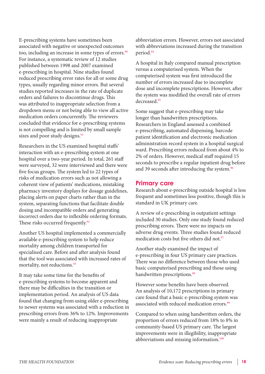E-prescribing systems have sometimes been associated with [negative](http://www.ncbi.nlm.nih.gov/pubmed/20075133) or unexpected outcomes too, including an increase in some types of errors.<sup>90</sup> For instance, a [systematic review](http://www.ncbi.nlm.nih.gov/pmc/articles/pmid/19567798/?tool=pubmed) of 12 studies published between 1998 and 2007 examined e-prescribing in hospital. Nine studies found reduced prescribing error rates for all or some drug types, usually regarding minor errors. But several studies reported increases in the rate of duplicate orders and failures to discontinue drugs. This was attributed to inappropriate selection from a dropdown menu or not being able to view all active medication orders concurrently. The reviewers concluded that evidence for e-prescribing systems is not compelling and is limited by small sample sizes and poor study designs.<sup>91</sup>

Researchers in the [US](http://www.ncbi.nlm.nih.gov/pubmed/15755942) examined hospital staffs' interaction with an e-prescribing system at one hospital over a two-year period. In total, 261 staff were surveyed, 32 were interviewed and there were five focus groups. The system led to 22 types of risks of medication errors such as not allowing a coherent view of patients' medications, mistaking pharmacy inventory displays for dosage guidelines, placing alerts on paper charts rather than in the system, separating functions that facilitate double dosing and incompatible orders and generating incorrect orders due to inflexible ordering formats. These risks occurred frequently.<sup>92</sup>

Another [US](http://www.ncbi.nlm.nih.gov/pubmed/16322178) hospital implemented a commercially available e-prescribing system to help reduce mortality among children transported for specialised care. Before and after analysis found that the tool was associated with increased rates of mortality, not reductions.<sup>93</sup>

It may take some time for the benefits of e-prescribing systems to become apparent and there may be difficulties in the transition or implementation period. An analysis of [US](http://www.ncbi.nlm.nih.gov/pubmed/21499828) data found that changing from using older e-prescribing to newer systems was associated with a reduction in prescribing errors from 36% to 12%. Improvements were mainly a result of reducing inappropriate

abbreviation errors. However, errors not associated with abbreviations increased during the transition period.94

A hospital in [Italy](http://www.ncbi.nlm.nih.gov/pubmed/17695003) compared manual prescription versus a computerised system. When the computerised system was first introduced the number of errors increased due to incomplete dose and incomplete prescriptions. However, after the system was modified the overall rate of errors decreased<sup>95</sup>

Some suggest that e-prescribing may take longer than handwritten prescriptions. Researchers in [England](http://www.ncbi.nlm.nih.gov/pmc/articles/pmid/17693676/?tool=pubmed) assessed a combined e-prescribing, automated dispensing, barcode patient identification and electronic medication administration record system in a hospital surgical ward. Prescribing errors reduced from about 4% to 2% of orders. However, medical staff required 15 seconds to prescribe a regular inpatient drug before and 39 seconds after introducing the system.<sup>96</sup>

#### **Primary care**

Research about e-prescribing outside hospital is less frequent and sometimes less positive, though this is standard in UK primary care.

A review of e-prescribing in [outpatient](http://www.ncbi.nlm.nih.gov/pmc/articles/pmid/17460137/?tool=pubmed) settings included 30 studies. Only one study found reduced prescribing errors. There were no impacts on adverse drug events. Three studies found reduced medication costs but five others did not.<sup>97</sup>

Another study examined the impact of e-prescribing in four [US primary care](http://www.ncbi.nlm.nih.gov/pmc/articles/pmid/16117752/?tool=pubmed) practices. There was no difference between those who used basic computerised prescribing and those using handwritten prescriptions.<sup>98</sup>

However some [benefits](http://www.ncbi.nlm.nih.gov/pubmed/18999201) have been observed. An analysis of 10,172 prescriptions in primary care found that a basic e-prescribing system was associated with reduced medication errors.<sup>99</sup>

Compared to when using handwritten orders, the proportion of errors reduced from 18% to 8% in community-based [US](http://www.ncbi.nlm.nih.gov/pmc/articles/pmid/20064806/?tool=pubmed) primary care. The largest improvements were in illegibility, inappropriate abbreviations and missing information.<sup>100</sup>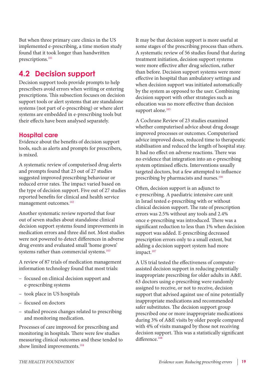But when three primary care clinics in the US implemented e-prescribing, a time motion study found that it [took longer](http://www.ncbi.nlm.nih.gov/pubmed/19929963) than handwritten prescriptions.<sup>101</sup>

### **4.2 Decision support**

Decision support tools provide prompts to help prescribers avoid errors when writing or entering prescriptions. This subsection focuses on decision support tools or alert systems that are standalone systems (not part of e-prescribing) or where alert systems are embedded in e-prescribing tools but their effects have been analysed separately.

#### **Hospital care**

Evidence about the benefits of decision support tools, such as alerts and prompts for prescribers, is mixed.

A [systematic review](http://www.ncbi.nlm.nih.gov/pmc/articles/pmid/19390110/?tool=pubmed) of computerised drug alerts and prompts found that 23 out of 27 studies suggested improved prescribing behaviour or reduced error rates. The impact varied based on the type of decision support. Five out of 27 studies reported benefits for clinical and health service management outcomes.<sup>102</sup>

Another [systematic review](http://www.ncbi.nlm.nih.gov/pubmed/12824090) reported that four out of seven studies about standalone clinical decision support systems found improvements in medication errors and three did not. Most studies were not powered to detect differences in adverse drug events and evaluated small 'home grown' systems rather than commercial systems.<sup>103</sup>

A review of 87 trials of [medication management](http://www.ncbi.nlm.nih.gov/pubmed/21852412) information technology found that most trials:

- focused on clinical decision support and e-prescribing systems
- took place in US hospitals
- focused on doctors
- studied process changes related to prescribing and monitoring medication.

Processes of care improved for prescribing and monitoring in hospitals. There were few studies measuring clinical outcomes and these tended to show limited improvements.<sup>104</sup>

It may be that decision support is more useful at some stages of the prescribing process than others. A systematic review of 56 studies found that during treatment initiation, decision support systems were [more effective after drug selection](http://www.ncbi.nlm.nih.gov/pmc/articles/pmid/19715591/?tool=pubmed), rather than before. Decision support systems were more effective in hospital than ambulatory settings and when decision support was initiated automatically by the system as opposed to the user. Combining decision support with other strategies such as education was no more effective than decision support alone.<sup>105</sup>

A [Cochrane Review](http://www.ncbi.nlm.nih.gov/pubmed/18646085) of 23 studies examined whether computerised advice about drug dosage improved processes or outcomes. Computerised advice improved doses, reduced time to therapeutic stabilisation and reduced the length of hospital stay. It had no effect on adverse reactions. There was no evidence that integration into an e-prescribing system optimised effects. Interventions usually targeted doctors, but a few attempted to influence prescribing by pharmacists and nurses.<sup>106</sup>

Often, decision support is an adjunct to e-prescribing. A paediatric intensive care unit in [Israel](http://www.ncbi.nlm.nih.gov/pubmed/19706588) tested e-prescribing with or without clinical decision support. The rate of prescription errors was 2.5% without any tools and 2.4% once e-prescribing was introduced. There was a significant reduction to less than 1% when decision support was added. E-prescribing decreased prescription errors only to a small extent, but adding a decision support system had more impact.<sup>107</sup>

A [US trial](http://www.ncbi.nlm.nih.gov/pubmed/19549022) tested the effectiveness of computerassisted decision support in reducing potentially inappropriate prescribing for older adults in A&E. 63 doctors using e-prescribing were randomly assigned to receive, or not to receive, decision support that advised against use of nine potentially inappropriate medications and recommended safer substitutes. The decision support group prescribed one or more inappropriate medications during 3% of A&E visits by older people compared with 4% of visits managed by those not receiving decision support. This was a statistically significant difference.<sup>108</sup>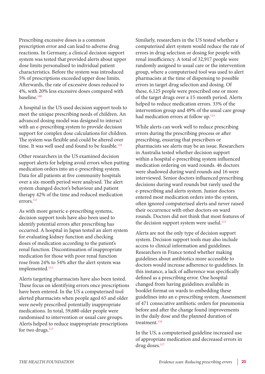Prescribing excessive doses is a common prescription error and can lead to adverse drug reactions. In [Germany](http://www.ncbi.nlm.nih.gov/pubmed/20427312), a clinical decision support system was tested that provided alerts about upper dose limits personalised to individual patient characteristics. Before the system was introduced 5% of prescriptions exceeded upper dose limits. Afterwards, the rate of excessive doses reduced to 4%, with 20% less excessive doses compared with baseline.109

A hospital in the US used decision support tools to meet the [unique prescribing needs of children.](http://www.ncbi.nlm.nih.gov/pmc/articles/pmid/21338518/?tool=pubmed) An advanced dosing model was designed to interact with an e-prescribing system to provide decision support for complex dose calculations for children. The system was flexible and could be altered over time. It was well used and found to be feasible.<sup>110</sup>

Other researchers in the US examined decision support [alerts](http://www.ncbi.nlm.nih.gov/pmc/articles/pmid/22195181/?tool=pubmed) for helping avoid errors when putting medication orders into an e-prescribing system. Data for all patients at five community hospitals over a six-month period were analysed. The alert system changed doctor's behaviour and patient therapy 42% of the time and reduced medication errors.111

As with more generic e-prescribing systems, decision support tools have also been used to identify potential errors after prescribing has occurred. A hospital in [Japan](http://www.ncbi.nlm.nih.gov/pubmed/19893857) tested an alert system for evaluating kidney function and checking doses of medication according to the patient's renal function. Discontinuation of inappropriate medication for those with poor renal function rose from 24% to 54% after the alert system was implemented.<sup>112</sup>

Alerts [targeting pharmacists](http://www.ncbi.nlm.nih.gov/pubmed/17608868) have also been tested. These focus on identifying errors once prescriptions have been entered. In the US a computerised tool alerted pharmacists when people aged 65 and older were newly prescribed potentially inappropriate medications. In total, 59,680 older people were randomised to intervention or usual care groups. Alerts helped to reduce inappropriate prescriptions for two drugs.<sup>113</sup>

Similarly, researchers in the US tested whether a computerised alert system would reduce the rate of errors in drug selection or dosing for people with renal insufficiency. A total of 32,917 people were randomly assigned to usual care or the intervention group, where a computerised tool was used to [alert](http://www.ncbi.nlm.nih.gov/pubmed/21449624)  [pharmacists](http://www.ncbi.nlm.nih.gov/pubmed/21449624) at the time of dispensing to possible errors in target drug selection and dosing. Of these, 6,125 people were prescribed one or more of the target drugs over a 15-month period. Alerts helped to reduce medication errors. 33% of the intervention group and 49% of the usual care group had medication errors at follow up.<sup>114</sup>

While alerts can work well to reduce prescribing errors during the prescribing process or after prescribing, ensuring that prescribers or pharmacists see alerts may be an issue. Researchers in [Australia](http://www.ncbi.nlm.nih.gov/pubmed/21676939) tested whether decision support within a hospital e-prescribing system influenced medication ordering on ward rounds. 46 doctors were shadowed during ward rounds and 16 were interviewed. Senior doctors influenced prescribing decisions during ward rounds but rarely used the e-prescribing and alerts system. Junior doctors entered most medication orders into the system, often ignored computerised alerts and never raised their occurrence with other doctors on ward rounds. Doctors did not think that most features of the decision support system were useful.<sup>115</sup>

Alerts are not the only type of decision support system. Decision support tools may also include access to clinical information and guidelines. Researchers in [France](http://www.ncbi.nlm.nih.gov/pubmed/21254287) tested whether making guidelines about antibiotics more accessible to doctors would increase adherence to guidelines. In this instance, a lack of adherence was specifically defined as a prescribing error. One hospital changed from having guidelines available in booklet format on wards to embedding these guidelines into an e-prescribing system. Assessment of 471 consecutive antibiotic orders for pneumonia before and after the change found improvements in the daily dose and the planned duration of treatment.<sup>116</sup>

In the US, a [computerised guideline](http://www.ncbi.nlm.nih.gov/pubmed/11025783) increased use of appropriate medication and decreased errors in drug doses.<sup>117</sup>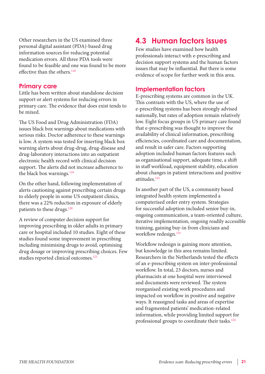Other researchers in the US examined three personal digital assistant ([PDA](http://www.ncbi.nlm.nih.gov/pmc/articles/pmid/15858626/?tool=pubmed))-based drug information sources for reducing potential medication errors. All three PDA tools were found to be feasible and one was found to be more effective than the others.<sup>118</sup>

#### **Primary care**

Little has been written about standalone decision support or alert systems for reducing errors in primary care. The evidence that does exist tends to be mixed.

The US Food and Drug Administration (FDA) issues black box warnings about medications with serious risks. Doctor adherence to these warnings is low. A system was tested for inserting black box warning alerts about drug-drug, drug-disease and drug-laboratory interactions into an [outpatient](http://www.ncbi.nlm.nih.gov/pubmed/21254291) electronic health record with clinical decision support. The alerts did not increase adherence to the black box warnings.<sup>119</sup>

On the other hand, following implementation of alerts cautioning against prescribing certain drugs to elderly people in some US [outpatient](http://www.ncbi.nlm.nih.gov/pubmed/16717172) clinics, there was a 22% reduction in exposure of elderly patients to these drugs.<sup>120</sup>

A review of computer decision support for improving prescribing in older adults in [primary](http://www.ncbi.nlm.nih.gov/pubmed/18675770)  [care or hospital](http://www.ncbi.nlm.nih.gov/pubmed/18675770) included 10 studies. Eight of these studies found some improvement in prescribing including minimising drugs to avoid, optimising drug dosage or improving prescribing choices. Few studies reported clinical outcomes.<sup>121</sup>

## **4.3 Human factors issues**

Few studies have examined how health professionals interact with e-prescribing and decision support systems and the human factors issues that may be influential. But there is some evidence of scope for further work in this area.

#### **Implementation factors**

E-prescribing systems are common in the UK. This contrasts with the US, where the use of e-prescribing systems has been strongly advised nationally, but rates of adoption remain relatively low. Eight focus groups in US primary care found that e-prescribing was thought to improve the availability of clinical information, prescribing efficiencies, coordinated care and documentation, and result in safer care. Factors supporting adoption included human factors features such as organisational support, adequate time, a shift in staff [workload](http://www.ncbi.nlm.nih.gov/pmc/articles/pmid/21087524/?tool=pubmed), equipment stability, education about changes in patient interactions and positive attitudes.122

In another part of the US, a community based integrated health system implemented a computerised order entry system. Strategies for successful adoption included senior buy-in, ongoing communication, a team-oriented culture, iterative implementation, ongoing readily accessible training, gaining buy-in from clinicians and [workflow redesign](http://www.ncbi.nlm.nih.gov/pubmed/21249960). 123

Workflow redesign is gaining more attention, but knowledge in this area remains limited. Researchers in the Netherlands tested the effects of an e-prescribing system on [inter-professional](http://www.ncbi.nlm.nih.gov/pubmed/19448890)  [workflow.](http://www.ncbi.nlm.nih.gov/pubmed/19448890) In total, 23 doctors, nurses and pharmacists at one hospital were interviewed and documents were reviewed. The system reorganised existing work procedures and impacted on workflow in positive and negative ways. It reassigned tasks and areas of expertise and fragmented patients' medication-related information, while providing limited support for professional groups to coordinate their tasks.<sup>124</sup>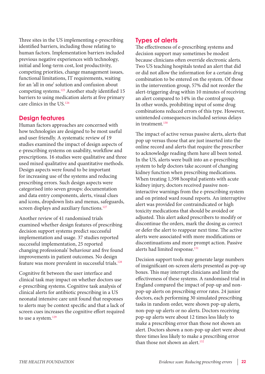Three sites in the US implementing e-prescribing identified [barriers,](http://www.ncbi.nlm.nih.gov/pmc/articles/pmid/16501174/?tool=pubmed) including those relating to human factors. Implementation barriers included previous negative experiences with technology, initial and long-term cost, lost productivity, competing priorities, change management issues, functional limitations, IT requirements, waiting for an 'all in one' solution and confusion about competing systems.125 Another study identified 15 [barriers](http://www.ncbi.nlm.nih.gov/pmc/articles/pmid/20351915/?tool=pubmed) to using medication alerts at five primary care clinics in the US.126

#### **Design features**

Human factors approaches are concerned with how technologies are designed to be most useful and user friendly. A systematic review of 19 studies examined the impact of [design aspects](http://www.ncbi.nlm.nih.gov/pubmed/19582333) of e-prescribing systems on usability, workflow and prescriptions. 16 studies were qualitative and three used mixed qualitative and quantitative methods. Design aspects were found to be important for increasing use of the systems and reducing prescribing errors. Such design aspects were categorised into seven groups: documentation and data entry components, alerts, visual clues and icons, dropdown lists and menus, safeguards, screen displays and auxiliary functions.<sup>127</sup>

Another review of 41 randomised trials examined whether [design features](http://www.ncbi.nlm.nih.gov/pmc/articles/pmid/19210782/?tool=pubmed) of prescribing decision support systems predict successful implementation and usage. 37 studies reported successful implementation, 25 reported changing professionals' behaviour and five found improvements in patient outcomes. No design feature was more prevalent in successful trials.128

Cognitive fit between the user interface and clinical task may impact on whether doctors use e-prescribing systems. Cognitive task analysis of clinical alerts for antibiotic prescribing in a US neonatal intensive care unit found that responses to alerts may be context specific and that a lack of [screen cues](http://www.ncbi.nlm.nih.gov/pmc/articles/pmid/20351922/?tool=pubmed) increases the cognitive effort required to use a system.<sup>129</sup>

#### **Types of alerts**

The effectiveness of e-prescribing systems and decision support may sometimes be modest because clinicians often [override electronic alerts](http://www.ncbi.nlm.nih.gov/pubmed/20876410). Two US teaching hospitals tested an alert that did or did not allow the information for a certain drug combination to be entered on the system. Of those in the intervention group, 57% did not reorder the alert-triggering drug within 10 minutes of receiving an alert compared to 14% in the control group. In other words, prohibiting input of some drug combinations reduced errors of this type. However, unintended consequences included serious delays in treatment.<sup>130</sup>

The impact of active versus passive alerts, alerts that pop up versus those that are just inserted into the online record and alerts that require the prescriber to acknowledge reading them have all been tested. In the US, alerts were built into an e-prescribing system to help doctors take account of changing kidney function when prescribing medications. When treating 1,598 hospital patients with acute kidney injury, doctors received passive noninteractive warnings from the e-prescribing system and on printed ward round reports. An [interruptive](http://www.ncbi.nlm.nih.gov/pmc/articles/pmid/20709437/?tool=pubmed)  [alert](http://www.ncbi.nlm.nih.gov/pmc/articles/pmid/20709437/?tool=pubmed) was provided for contraindicated or high toxicity medications that should be avoided or adjusted. This alert asked prescribers to modify or discontinue the orders, mark the dosing as correct or defer the alert to reappear next time. The active alerts were associated with more modifications or discontinuations and more prompt action. Passive alerts had limited response.<sup>131</sup>

Decision support tools may generate large numbers of insignificant on-screen alerts presented as pop-up boxes. This may interrupt clinicians and limit the effectiveness of these systems. A randomised trial in [England](http://www.ncbi.nlm.nih.gov/pubmed/21836158) compared the impact of pop-up and nonpop-up alerts on prescribing error rates. 24 junior doctors, each performing 30 simulated prescribing tasks in random order, were shown pop-up alerts, non-pop-up alerts or no alerts. Doctors receiving pop-up alerts were about 12 times less likely to make a prescribing error than those not shown an alert. Doctors shown a non-pop-up alert were about three times less likely to make a prescribing error than those not shown an alert.<sup>132</sup>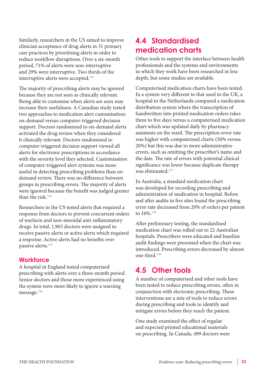Similarly, researchers in the US aimed to improve clinician acceptance of drug alerts in 31 primary care practices by [prioritising alerts](http://www.ncbi.nlm.nih.gov/pmc/articles/pmid/16221941/?tool=pubmed) in order to reduce workflow disruptions. Over a six-month period, 71% of alerts were non-interruptive and 29% were interruptive. Two thirds of the interruptive alerts were accepted.<sup>133</sup>

The majority of prescribing alerts may be ignored because they are not seen as clinically relevant. Being able to customise when alerts are seen may increase their usefulness. A Canadian study tested two approaches to medication alert customisation: on-demand versus computer-triggered decision support. Doctors randomised to on-demand alerts activated the drug review when they considered it clinically relevant. Doctors randomised to computer-triggered decision support viewed all alerts for electronic prescriptions in accordance with the severity level they selected. [Customisation](http://www.ncbi.nlm.nih.gov/pmc/articles/pmid/18436904/?tool=pubmed) of computer-triggered alert systems was more useful in detecting prescribing problems than ondemand review. There was no difference between groups in prescribing errors. The majority of alerts were ignored because the benefit was judged greater than the risk.<sup>134</sup>

Researchers in the US tested alerts that required a response from doctors to prevent concurrent orders of warfarin and non-steroidal anti-inflammatory drugs. In total, 1,963 doctors were assigned to receive passive alerts or active alerts which required a response. Active alerts had [no benefits over](http://www.ncbi.nlm.nih.gov/pmc/articles/pmid/20595308/?tool=pubmed)  [passive alerts](http://www.ncbi.nlm.nih.gov/pmc/articles/pmid/20595308/?tool=pubmed). 135

#### **Workforce**

A hospital in England tested computerised prescribing with alerts over a three-month period. [Senior doctors](http://www.ncbi.nlm.nih.gov/pmc/articles/pmid/15175488/?tool=pubmed) and those more experienced using the system were more likely to ignore a warning message.<sup>136</sup>

## **4.4 Standardised medication charts**

Other tools to support the interface between health professionals and the systems and environments in which they work have been researched in less depth, but some studies are available.

[Computerised medication charts](http://www.ncbi.nlm.nih.gov/pubmed/16329714) have been tested. In a system very different to that used in the UK, a hospital in the Netherlands compared a medication distribution system where the transcription of handwritten into printed medication orders takes three to five days versus a computerised medication chart which was updated daily by pharmacy assistants on the ward. The prescription error rate was higher with computerised charts (50% versus 20%) but this was due to more administrative errors, such as omitting the prescriber's name and the date. The rate of errors with potential clinical significance was lower because duplicate therapy was eliminated.137

In [Australia](http://www.ncbi.nlm.nih.gov/pubmed/19955461), a standard medication chart was developed for recording prescribing and administration of medication in hospital. Before and after audits in five sites found the prescribing error rate decreased from 20% of orders per patient to 16%.<sup>138</sup>

After preliminary testing, the standardised [medication chart](http://www.ncbi.nlm.nih.gov/pubmed/21426371) was rolled out to 22 Australian hospitals. Prescribers were educated and baseline audit findings were presented when the chart was introduced. Prescribing errors decreased by almost one third.139

### **4.5 Other tools**

A number of computerised and other tools have been tested to reduce prescribing errors, often in conjunction with electronic prescribing. These interventions are a mix of tools to reduce errors during prescribing and tools to identify and mitigate errors before they reach the patient.

One study examined the effect of regular and expected [printed educational materials](http://www.ncbi.nlm.nih.gov/pmc/articles/pmid/15505268/?tool=pubmed) on prescribing. In Canada, 499 doctors were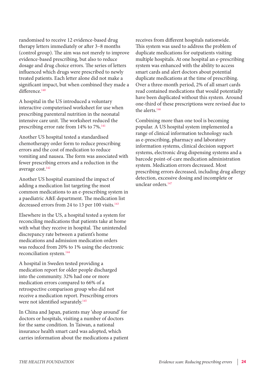randomised to receive 12 evidence-based drug therapy letters immediately or after 3–8 months (control group). The aim was not merely to improve evidence-based prescribing, but also to reduce dosage and drug choice errors. The series of letters influenced which drugs were prescribed to newly treated patients. Each letter alone did not make a significant impact, but when combined they made a difference.<sup>140</sup>

A hospital in the US introduced a voluntary interactive computerised [worksheet](http://www.ncbi.nlm.nih.gov/pubmed/17624817) for use when prescribing parenteral nutrition in the neonatal intensive care unit. The worksheet reduced the prescribing error rate from 14% to 7%.<sup>141</sup>

Another US hospital tested a standardised chemotherapy [order form](http://www.ncbi.nlm.nih.gov/pubmed/16460600) to reduce prescribing errors and the cost of medication to reduce vomiting and nausea. The form was associated with fewer prescribing errors and a reduction in the average cost.<sup>142</sup>

Another US hospital examined the impact of adding a [medication list](http://www.ncbi.nlm.nih.gov/pubmed/18829802) targeting the most common medications to an e-prescribing system in a paediatric A&E department. The medication list decreased errors from 24 to 13 per 100 visits.<sup>143</sup>

Elsewhere in the US, a hospital tested a system for [reconciling medications](http://www.ncbi.nlm.nih.gov/pubmed/19241731) that patients take at home with what they receive in hospital. The unintended discrepancy rate between a patient's home medications and admission medication orders was reduced from 20% to 1% using the electronic reconciliation system.<sup>144</sup>

A hospital in [Sweden](http://www.ncbi.nlm.nih.gov/pubmed/17661157) tested providing a medication report for older people discharged into the community. 32% had one or more medication errors compared to 66% of a retrospective comparison group who did not receive a medication report. Prescribing errors were not identified separately.<sup>145</sup>

In China and Japan, patients may 'shop around' for doctors or hospitals, visiting a number of doctors for the same condition. In Taiwan, a national insurance health [smart card](http://www.ncbi.nlm.nih.gov/pubmed/21183402) was adopted, which carries information about the medications a patient

receives from different hospitals nationwide. This system was used to address the problem of duplicate medications for outpatients visiting multiple hospitals. At one hospital an e-prescribing system was enhanced with the ability to access smart cards and alert doctors about potential duplicate medications at the time of prescribing. Over a three-month period, 2% of all smart cards read contained medications that would potentially have been duplicated without this system. Around one-third of these prescriptions were revised due to the alerts.146

[Combining more than one tool](http://www.ncbi.nlm.nih.gov/pubmed/17823111) is becoming popular. A US hospital system implemented a range of clinical information technology such as e-prescribing, pharmacy and laboratory information systems, clinical decision support systems, electronic drug dispensing systems and a barcode point-of-care medication administration system. Medication errors decreased. Most prescribing errors decreased, including drug allergy detection, excessive dosing and incomplete or unclear orders.<sup>147</sup>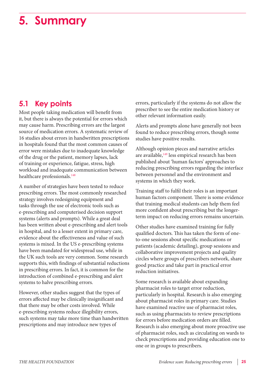## <span id="page-24-0"></span>**5. Summary**

### **5.1 Key points**

Most people taking medication will benefit from it, but there is always the potential for errors which may cause harm. Prescribing errors are the largest source of medication errors. A systematic review of 16 studies about errors in handwritten prescriptions in hospitals found that the most [common causes](http://www.ncbi.nlm.nih.gov/pubmed/19722726) of error were mistakes due to inadequate knowledge of the drug or the patient, memory lapses, lack of training or experience, fatigue, stress, high workload and inadequate communication between healthcare professionals.<sup>148</sup>

A number of strategies have been tested to reduce prescribing errors. The most commonly researched strategy involves redesigning equipment and tasks through the use of electronic tools such as e-prescribing and computerised decision support systems (alerts and prompts). While a great deal has been written about e-prescribing and alert tools in hospital, and to a lesser extent in primary care, evidence about the effectiveness and value of such systems is mixed. In the US e-prescribing systems have been mandated for widespread use, while in the UK such tools are very common. Some research supports this, with findings of substantial reductions in prescribing errors. In fact, it is common for the introduction of combined e-prescribing and alert systems to halve prescribing errors.

However, other studies suggest that the types of errors affected may be clinically insignificant and that there may be other costs involved. While e-prescribing systems reduce illegibility errors, such systems may take more time than handwritten prescriptions and may introduce new types of

errors, particularly if the systems do not allow the prescriber to see the entire medication history or other relevant information easily.

Alerts and prompts alone have generally not been found to reduce prescribing errors, though some studies have positive results.

Although opinion pieces and [narrative](http://www.ncbi.nlm.nih.gov/pubmed/12892025) articles are available,<sup>149</sup> less empirical research has been published about 'human factors' approaches to reducing prescribing errors regarding the interface between personnel and the environment and systems in which they work.

Training staff to fulfil their roles is an important human factors component. There is some evidence that training medical students can help them feel more confident about prescribing but the longerterm impact on reducing errors remains uncertain.

Other studies have examined training for fully qualified doctors. This has taken the form of oneto-one sessions about specific medications or patients (academic detailing), group sessions and collaborative improvement projects and quality circles where groups of prescribers network, share good practice and take part in practical error reduction initiatives.

Some research is available about expanding pharmacist roles to target error reduction, particularly in hospital. Research is also emerging about pharmacist roles in primary care. Studies have examined reactive use of pharmacist roles, such as using pharmacists to review prescriptions for errors before medication orders are filled. Research is also emerging about more proactive use of pharmacist roles, such as circulating on wards to check prescriptions and providing education one to one or in groups to prescribers.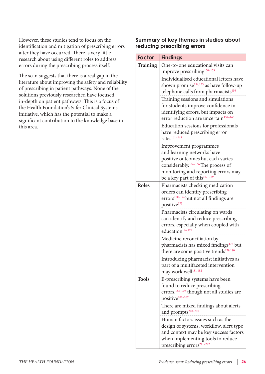However, these studies tend to focus on the identification and mitigation of prescribing errors after they have occurred. There is very little research about using different roles to address errors during the prescribing process itself.

The scan suggests that there is a real gap in the literature about improving the safety and reliability of prescribing in patient pathways. None of the solutions previously researched have focused in-depth on patient pathways. This is a focus of the Health Foundation's Safer Clinical Systems initiative, which has the potential to make a significant contribution to the knowledge base in this area.

#### **Summary of key themes in studies about reducing prescribing errors**

| One-to-one educational visits can<br><b>Training</b>                    |  |
|-------------------------------------------------------------------------|--|
|                                                                         |  |
| improve prescribing <sup>150-153</sup>                                  |  |
| Individualised educational letters have                                 |  |
| shown promise <sup>154,155</sup> as have follow-up                      |  |
| telephone calls from pharmacists <sup>156</sup>                         |  |
| Training sessions and simulations                                       |  |
| for students improve confidence in                                      |  |
| identifying errors, but impacts on                                      |  |
| error reduction are uncertain <sup>157-160</sup>                        |  |
| Education sessions for professionals                                    |  |
| have reduced prescribing error                                          |  |
| rates <sup>161-163</sup>                                                |  |
| Improvement programmes                                                  |  |
| and learning networks have                                              |  |
| positive outcomes but each varies                                       |  |
| considerably. <sup>164-166</sup> The process of                         |  |
| monitoring and reporting errors may                                     |  |
| be a key part of this <sup>167-169</sup>                                |  |
| <b>Roles</b><br>Pharmacists checking medication                         |  |
| orders can identify prescribing                                         |  |
| errors <sup>170-174</sup> but not all findings are                      |  |
| positive <sup>175</sup>                                                 |  |
| Pharmacists circulating on wards                                        |  |
| can identify and reduce prescribing                                     |  |
| errors, especially when coupled with                                    |  |
| education <sup>176,177</sup>                                            |  |
| Medicine reconciliation by                                              |  |
| pharmacists has mixed findings <sup>178</sup> but                       |  |
| there are some positive trends <sup>179,180</sup>                       |  |
| Introducing pharmacist initiatives as                                   |  |
| part of a multifaceted intervention<br>may work well <sup>181,182</sup> |  |
| <b>Tools</b>                                                            |  |
| E-prescribing systems have been<br>found to reduce prescribing          |  |
| errors, <sup>183-199</sup> though not all studies are                   |  |
| positive <sup>200-207</sup>                                             |  |
| There are mixed findings about alerts                                   |  |
| and prompts <sup>208-210</sup>                                          |  |
| Human factors issues such as the                                        |  |
| design of systems, workflow, alert type                                 |  |
| and context may be key success factors                                  |  |
| when implementing tools to reduce                                       |  |
| prescribing errors <sup>211-222</sup>                                   |  |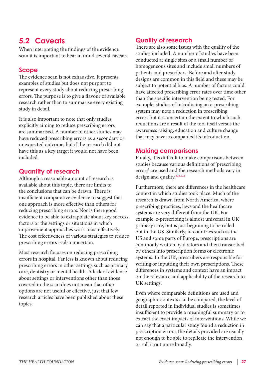## **5.2 Caveats**

When interpreting the findings of the evidence scan it is important to bear in mind several caveats.

#### **Scope**

The evidence scan is not exhaustive. It presents examples of studies but does not purport to represent every study about reducing prescribing errors. The purpose is to give a flavour of available research rather than to summarise every existing study in detail.

It is also important to note that only studies explicitly aiming to reduce prescribing errors are summarised. A number of other studies may have reduced prescribing errors as a secondary or unexpected outcome, but if the research did not have this as a key target it would not have been included.

#### **Quantity of research**

Although a reasonable amount of research is available about this topic, there are limits to the conclusions that can be drawn. There is insufficient comparative evidence to suggest that one approach is more effective than others for reducing prescribing errors. Nor is there good evidence to be able to extrapolate about key success factors or the settings or situations in which improvement approaches work most effectively. The cost effectiveness of various strategies to reduce prescribing errors is also uncertain.

Most research focuses on reducing prescribing errors in hospital. Far less is known about reducing prescribing errors in other settings such as primary care, dentistry or mental health. A lack of evidence about settings or interventions other than those covered in the scan does not mean that other options are not useful or effective, just that few research articles have been published about these topics.

#### **Quality of research**

There are also some issues with the quality of the studies included. A number of studies have been conducted at single sites or a small number of homogeneous sites and include small numbers of patients and prescribers. Before and after study designs are common in this field and these may be subject to potential bias. A number of factors could have affected prescribing error rates over time other than the specific intervention being tested. For example, studies of introducing an e-prescribing system may note a reduction in prescribing errors but it is uncertain the extent to which such reductions are a result of the tool itself versus the awareness raising, education and culture change that may have accompanied its introduction.

#### **Making comparisons**

Finally, it is difficult to make comparisons between studies because various [definitions](http://www.ncbi.nlm.nih.gov/pubmed/19722726) of 'prescribing errors' are used and the research methods vary in design and quality.<sup>223,224</sup>

Furthermore, there are differences in the healthcare context in which studies took place. Much of the research is drawn from North America, where prescribing practices, laws and the healthcare systems are very different from the UK. For example, e-prescribing is almost universal in UK primary care, but is just beginning to be rolled out in the US. Similarly, in countries such as the US and some parts of Europe, prescriptions are commonly written by doctors and then transcribed by others into prescription forms or electronic systems. In the UK, prescribers are responsible for writing or inputting their own prescriptions. These differences in systems and context have an impact on the relevance and applicability of the research to UK settings.

Even where comparable definitions are used and geographic contexts can be compared, the level of detail reported in individual studies is sometimes insufficient to provide a meaningful summary or to extract the exact impacts of interventions. While we can say that a particular study found a reduction in prescription errors, the details provided are usually not enough to be able to replicate the intervention or roll it out more broadly.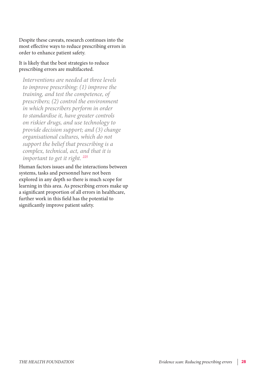Despite these caveats, research continues into the most effective ways to reduce prescribing errors in order to enhance patient safety.

#### It is likely that the best strategies to reduce prescribing errors are [multifaceted.](http://www.ncbi.nlm.nih.gov/pmc/articles/pmid/14645746/?tool=pubmed)

*Interventions are needed at three levels to improve prescribing: (1) improve the training, and test the competence, of prescribers; (2) control the environment in which prescribers perform in order to standardise it, have greater controls on riskier drugs, and use technology to provide decision support; and (3) change organisational cultures, which do not support the belief that prescribing is a complex, technical, act, and that it is important to get it right. 225*

Human factors issues and the interactions between systems, tasks and personnel have not been explored in any depth so there is much scope for learning in this area. As prescribing errors make up a significant proportion of all errors in healthcare, further work in this field has the potential to significantly improve patient safety.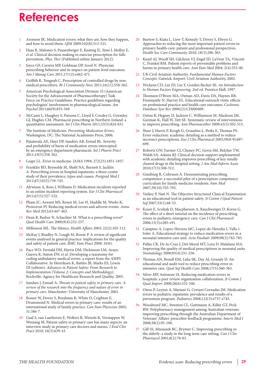## <span id="page-28-0"></span>**References**

- Aronson JK. Medication errors: what they are, how they happen, and how to avoid them. *QJM* 2009;102(8):513-521.
- 2 Haas R, Maloney S, Pausenberger E, Keating JL, Sims J, Molloy E, *et al*. [Clinical decision making in exercise prescription for falls](http://www.ncbi.nlm.nih.gov/pubmed/22228609)  [prevention.](http://www.ncbi.nlm.nih.gov/pubmed/22228609) *Phys Ther* (Published online January 2012).
- 3 Joyce GF, Carrera MP, Goldman DP, Sood N. [Physician](http://www.ncbi.nlm.nih.gov/pubmed/22216870)  [prescribing behavior and its impact on patient-level outcomes.](http://www.ncbi.nlm.nih.gov/pubmed/22216870) *Am J Manag Care* 2011;17(12):e462-471.
- 4 Griffith R, Tengnah C. [Prescription of controlled drugs by non](http://www.ncbi.nlm.nih.gov/pubmed/22067574)[medical prescribers.](http://www.ncbi.nlm.nih.gov/pubmed/22067574) *Br J Community Nurs* 2011;16(11):558-562.
- 5 American Psychological Association Division 55 (American Society for the Advancement of Pharmacotherapy) Task Force on Practice Guidelines. [Practice guidelines regarding](http://www.ncbi.nlm.nih.gov/pubmed/22004178)  [psychologists' involvement in pharmacological issues.](http://www.ncbi.nlm.nih.gov/pubmed/22004178) *Am Psychol* 2011;66(9):835-549.
- 6 McCann L, Haughey S, Parsons C, Lloyd F, Crealey G, Gormley GJ, Hughes CM. [Pharmacist prescribing in Northern Ireland: a](http://www.ncbi.nlm.nih.gov/pubmed/21830075)  [quantitative assessment.](http://www.ncbi.nlm.nih.gov/pubmed/21830075) *Int J Clin Pharm* 2011;33(5):824-831.
- 7 The Institute of Medicine. *[Preventing Medication Errors](http://www.nap.edu/catalog/11623.html)*. Washington, DC: The National Academies Press, 2006.
- Patanwala AE, Hays DP, Sanders AB, Erstad BL. Severity [and probability of harm of medication errors intercepted](http://www.ncbi.nlm.nih.gov/pubmed/21899616)  [by an emergency department pharmacist.](http://www.ncbi.nlm.nih.gov/pubmed/21899616) *Int J Pharm Pract* 2011;19(5):358-362.
- 9 Leape LL. Error in medicine. *JAMA* 1994; 272(23):1851-1857.
- 10 Franklin BD, Reynolds M, Shebl NA, Burnett S, Jacklin A. [Prescribing errors in hospital inpatients: a three-centre](http://www.ncbi.nlm.nih.gov/pubmed/21757461)  [study of their prevalence, types and causes.](http://www.ncbi.nlm.nih.gov/pubmed/21757461) *Postgrad Med J* 2011;87(1033):739-745.
- 11 Alrwisan A, Ross J, Williams D. [Medication incidents reported](http://www.ncbi.nlm.nih.gov/pubmed/21240481)  [to an online incident reporting system.](http://www.ncbi.nlm.nih.gov/pubmed/21240481) *Eur J Clin Pharmacol* 2011;67(5):527-532.
- 12 Pham JC, Aswani MS, Rosen M, Lee H, Huddle M, Weeks K, Pronovost PJ. [Reducing medical errors and adverse events.](http://www.ncbi.nlm.nih.gov/pubmed/22053736) *Annu Rev Med* 2012;63:447-463.
- 13 Dean B, Barber N, Schachter M. What is a prescribing error? *Qual Health Care* 2000;9(4):232-237.
- 14 Millenson ML. [The Silence.](http://content.healthaffairs.org/cgi/content/full/22/2/103?maxtoshow=&HITS=80&hits=80&RESULTFORMAT=&andorexactfulltext=and&searchid=1&FIRSTINDEX=120&volume=22&resourcetype=HWCIT) *Health Affairs* 2003; 22(2):103-112.
- 15 McKay J, Bradley N, Lough M, Bowie P. A review of significant events analysed in general practice: implications for the quality and safety of patient care. *BMC Fam Pract* 2009; 10:61.
- 16 Pace WD, Fernald DH, Harris DM, Dickinson LM, Araya-Guerra R, Staton EW, *et al*. Developing a taxonomy for coding ambulatory medical errors: a report from the ASIPS Collaborative. In Henriksen K, Battles JB, Marks ES, Lewin DI (editors). *Advances in Patient Safety: From Research to Implementation (Volume 2: Concepts and Methodology)*. Rockville: Agency for Healthcare Research and Quality, 2005.
- 17 Sandars J, Esmail A. *Threats to patient safety in primary care. A review of the research into the frequency and nature of error in primary care*. Manchester: University of Manchester, 2001.
- 18 Rosser W, Dovey S, Bordman R, White D, Crighton E, Drummond N. Medical errors in primary care: results of an international study of family practice. *Can Fam Physician* 2005; 51:386-7.
- 19 Gaal S, van Laarhoven E, Wolters R, Wetzels R, Verstappen W, Wensing M. Patient safety in primary care has many aspects: an interview study in primary care doctors and nurses. *J Eval Clin Pract* 2010; 16(3):639-43.
- 20 Buetow S, Kiata L, Liew T, Kenealy T, Dovey S, Elwyn G. Approaches to reducing the most important patient errors in primary health-care: patient and professional perspectives. *Health Soc Care Community* 2010; 18(3):296-303.
- 21 Kuzel AJ, Woolf SH, Gilchrist VJ, Engel JD, LaVeist TA, Vincent C, Frankel RM. Patient reports of preventable problems and harms in primary health care. *Ann Fam Med* 2004; 2(4):333-40.
- 22 UK Civil Aviation Authority. *Fundamental Human Factors Concepts*. Gatwick Airport: Civil Aviation Authority, 2002.
- 23 Wickens CD, Lee JD, Liu Y, Gorden Becker SE. *An Introduction to Human Factors Engineering, 2nd ed.* Prentice Hall, 1997.
- 24 Thomson O'Brien MA, Oxman AD, Davis DA, Haynes RB, Freemantle N, Harvey EL. Educational outreach visits: effects on professional practice and health care outcomes. *Cochrane Database Syst Rev* 2000;(2):CD000409.
- 25 Ostini R, Hegney D, Jackson C, Williamson M, Mackson JM, Gurman K, Hall W, Tett SE. Systematic review of interventions to improve prescribing. *Ann Pharmacother* 2009;43(3):502-513.
- 26 Shaw J, Harris P, Keogh G, Graudins L, Perks E, Thomas PS. Error reduction: academic detailing as a method to reduce incorrect prescriptions. *Eur J Clin Pharmacol* 2003;59(8-9):697- 699.
- 27 Roberts GW, Farmer CJ, Cheney PC, Govis SM, Belcher TW, Walsh SA, Adams RJ. Clinical decision support implemented with academic detailing improves prescribing of key renally cleared drugs in the hospital setting. *J Am Med Inform Assoc* 2010;17(3):308-312.
- 28 Ginzburg R, Cohrssen A. Demonstrating prescribing competence: a successful pilot of a prescription competency curriculum for family medicine residents. *Fam Med* 2007;39(10):703-705.
- 29 Varkey P, Natt N. The Objective Structured Clinical Examination as an educational tool in patient safety. *Jt Comm J Qual Patient Saf* 2007;33(1):48-53.
- 30 Kozer E, Scolnik D, Macpherson A, Rauchwerger D, Koren G. The effect of a short tutorial on the incidence of prescribing errors in pediatric emergency care. *Can J Clin Pharmacol* 2006;13(3):e285-e91.
- 31 Campino A, Lopez-Herrera MC, Lopez-de-Heredia I, Valls-i-Soler A. Educational strategy to reduce medication errors in a neonatal intensive care unit. *Acta Paediatr* 2009;98(5):782-785.
- 32 Pallas CR, De-la-Cruz J, Del-Moral MT, Lora D, Malalana MA. Improving the quality of medical prescriptions in neonatal units. *Neonatology* 2008;93(4):251-256.
- 33 Thomas AN, Boxall EM, Laha SK, Day AJ, Grundy D. An educational and audit tool to reduce prescribing error in intensive care. *Qual Saf Health Care* 2008;17(5):360-363.
- 34 Silver MP, Antonow JA. Reducing medication errors in hospitals: a peer review organization collaboration. *Jt Comm J Qual Improv* 2000;26(6):332-340.
- 35 Otero P, Leyton A, Mariani G, Ceriani Cernadas JM. Medication errors in pediatric inpatients: prevalence and results of a prevention program. *Pediatrics* 2008;122(3):e737-e743.
- 36 Woodward MC, Streeton CL, Guttmann A, Killer GT, Peck RW. Polypharmacy management among Australian veterans: improving prescribing through the Australian Department of Veterans' Affairs' prescriber feedback programme. *Intern Med J* 2008;38(2):95-100.
- 37 Gill SS, Misiaszek BC, Brymer C. Improving prescribing in the elderly: a study in the long term care setting. *Can J Clin Pharmacol* 2001;8(2):78-83.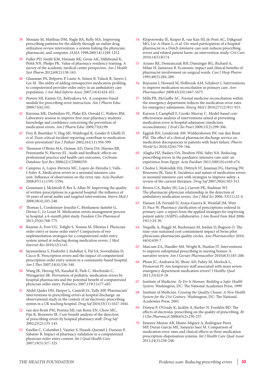- 38 Monane M, Matthias DM, Nagle BA, Kelly MA. Improving prescribing patterns for the elderly through an online drug utilization review intervention: a system linking the physician, pharmacist, and computer. *JAMA* 1998;280(14):1249-1252.
- 39 Fuller PD, Smith KM, Hinman RK, Gross AK, Hillebrand K, Pettit NN, Phelps PK. Value of pharmacy residency training: A survey of the academic medical center perspective. *Am J Health Syst Pharm* 2012;69(2):158-165.
- 40 Glassman PA, Belperio P, Lanto A, Simon B, Valuck R, Sayers J, Lee M. The utility of adding retrospective medication profiling to computerized provider order entry in an ambulatory care population. *J Am Med Inform Assoc* 2007;14(4):424-431.
- Peeters MJ, Kamm GL, Beltyukova SA. A computer-based module for prescribing error instruction. *Am J Pharm Educ* 2009;73(6):101.
- 42 Kiersma ME, Darbishire PL, Plake KS, Oswald C, Walters BM. Laboratory session to improve first-year pharmacy students' knowledge and confidence concerning the prevention of medication errors. *Am J Pharm Educ* 2009;73(6):99.
- 43 Frey B, Buettiker V, Hug MI, Waldvogel K, Gessler P, Ghelfi D, *et al*. Does critical incident reporting contribute to medication error prevention? *Eur J Pediatr* 2002;161(11):594-599.
- 44 Thomson O'Brien MA, Oxman AD, Davis DA, Haynes RB, Freemantle N, Harvey EL. Audit and feedback: effects on professional practice and health care outcomes. *Cochrane Database Syst Rev* 2000;(2):CD000259.
- Campino A, Lopez-Herrera MC, Lopez-de-Heredia I, Valls-I-Soler A. Medication errors in a neonatal intensive care unit. Influence of observation on the error rate. *Acta Paediatr* 2008;97(11):1591-1594.
- 46 Gommans J, McIntosh P, Bee S, Allan W. Improving the quality of written prescriptions in a general hospital: the influence of 10 years of serial audits and targeted interventions. *Intern Med J*  2008;38(4):243-248.
- 47 Thomas L, Cordonnier-Jourdin C, Benhamou-Jantelet G, Divine C, Le Louet H. Medication errors management process in hospital: a 6-month pilot study. *Fundam Clin Pharmacol* 2011;25(6):768-775.
- 48 Kazemi A, Fors UG, Tofighi S, Tessma M, Ellenius J. Physician order entry or nurse order entry? Comparison of two implementation strategies for a computerized order entry system aimed at reducing dosing medication errors. *J Med Internet Res* 2010;12(1):e5.
- 49 Jayawardena S, Eisdorfer J, Indulkar S, Pal SA, Sooriabalan D, Cucco R. Prescription errors and the impact of computerized prescription order entry system in a community-based hospital. *Am J Ther* 2007;14(4):336-340.
- 50 Wang JK, Herzog NS, Kaushal R, Park C, Mochizuki C, Weingarten SR. Prevention of pediatric medication errors by hospital pharmacists and the potential benefit of computerized physician order entry. *Pediatrics* 2007;119(1):e77-e85.
- 51 Abdel-Qader DH, Harper L, Cantrill JA, Tully MP. Pharmacists' interventions in prescribing errors at hospital discharge: an observational study in the context of an electronic prescribing system in a UK teaching hospital. *Drug Saf* 2010;33(11):1027-1044.
- 52 van den Bemt PM, Postma MJ, van Roon EN, Chow MC, Fijn R, Brouwers JR. Cost-benefit analysis of the detection of prescribing errors by hospital pharmacy staff. *Drug Saf* 2002;25(2):135-143.
- 53 Estellat C, Colombet I, Vautier S, Huault-Quentel J, Durieux P, Sabatier B. Impact of pharmacy validation in a computerized physician order entry context. *Int J Qual Health Care*  $2007;19(5):317-325.$
- 54 Klopotowska JE, Kuiper R, van Kan HJ, de Pont AC, Dijkgraaf MG, Lie-A-Huen L, *et al*. On-ward participation of a hospital pharmacist in a Dutch intensive care unit reduces prescribing errors and related patient harm: an intervention study. *Crit Care* 2010;14(5):R174.
- 55 Ariano RE, Demianczuk RH, Danzinger RG, Richard A, Milan H, Jamieson B. Economic impact and clinical benefits of pharmacist involvement on surgical wards. *Can J Hosp Pharm* 1995;48(5):284-289.
- 56 Bayoumi I, Howard M, Holbrook AM, Schabort I. Interventions to improve medication reconciliation in primary care. *Ann Pharmacother* 2009;43(10):1667-1675.
- 57 Mills PR, McGuffie AC. Formal medicine reconciliation within the emergency department reduces the medication error rates for emergency admissions. *Emerg Med J* 2010;27(12):911-915.
- 58 Karnon J, Campbell F, Czoski-Murray C. Model-based costeffectiveness analysis of interventions aimed at preventing medication error at hospital admission (medicines reconciliation). *J Eval Clin Pract* 2009;15(2):299-306.
- 59 Eggink RN, Lenderink AW, Widdershoven JW, van den Bemt PM. The effect of a clinical pharmacist discharge service on medication discrepancies in patients with heart failure. *Pharm World Sci* 2010;32(6):759-766.
- 60 Alagha HZ, Badary OA, Ibrahim HM, Sabri NA. Reducing prescribing errors in the paediatric intensive care unit: an experience from Egypt. *Acta Paediatr* 2011;100(10):e169-e74.
- 61 Chedoe I, Molendijk HA, Dittrich ST, Jansman FG, Harting JW, Brouwers JR, Taxis K. Incidence and nature of medication errors in neonatal intensive care with strategies to improve safety: a review of the current literature. *Drug Saf* 2007;30(6):503-513.
- 62 Brown CA, Bailey JH, Lee J, Garrett PK, Rudman WJ. The pharmacist-physician relationship in the detection of ambulatory medication errors. *Am J Med Sci* 2006; 331(1):22-4.
- 63 Hansen LB, Fernald D, Araya-Guerra R, Westfall JM, West D, Pace W. Pharmacy clarification of prescriptions ordered in primary care: a report from the applied strategies for improving patient safety (ASIPS) collaborative. *J Am Board Fam Med* 2006; 19(1):24-30.
- 64 Niquille A, Ruggli M, Buchmann M, Jordan D, Bugnon O. The nine-year sustained cost-containment impact of Swiss pilot physicians-pharmacists quality circles. *Ann Pharmacother* 2010; 44(4):650-7.
- 65 Marcum ZA, Handler SM, Wright R, Hanlon JT. Interventions to improve suboptimal prescribing in nursing homes: A narrative review. *Am J Geriatr Pharmacother* 2010;8(3):183-200.
- 66 Pham JC, Andrawis M, Shore AD, Fahey M, Morlock L, Pronovost PJ. Are temporary staff associated with more severe emergency department medication errors? *J Healthc Qual* 2011;33(4):9-18.
- 67 Institute of Medicine. *[To Err Is Human: Building a Safer Health](http://fermat.nap.edu/catalog/9728.html#toc)  [System](http://fermat.nap.edu/catalog/9728.html#toc)*. Washington, DC: The National Academies Press, 1999.
- 68 Institute of Medicine. *[Crossing the Quality Chasm: A New Health](http://www.nap.edu/books/0309072808/html)  [System for the 21st Century](http://www.nap.edu/books/0309072808/html)*. Washington, DC: The National Academies Press, 2001.
- Donyai P, O'Grady K, Jacklin A, Barber N, Franklin BD. The effects of electronic prescribing on the quality of prescribing. *Br J Clin Pharmacol* 2008;65(2):230-237.
- 70 Jimenez Munoz AB, Muino Miguez A, Rodriguez Perez MP, Duran Garcia ME, Sanjurjo Saez M. Comparison of medication error rates and clinical effects in three medication prescription-dispensation systems. *Int J Health Care Qual Assur* 2011;24(3):238-248.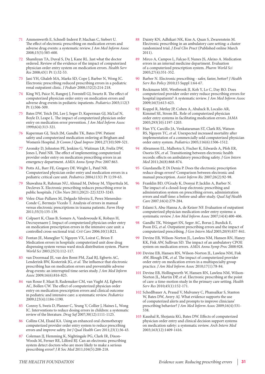- 71 Ammenwerth E, Schnell-Inderst P, Machan C, Siebert U. The effect of electronic prescribing on medication errors and adverse drug events: a systematic review. *J Am Med Inform Assoc* 2008;15(5):585-600.
- 72 Shamliyan TA, Duval S, Du J, Kane RL. Just what the doctor ordered. Review of the evidence of the impact of computerized physician order entry system on medication errors. *Health Serv Res* 2008;43(1 Pt 1):32-53.
- 73 Jani YH, Ghaleb MA, Marks SD, Cope J, Barber N, Wong IC. Electronic prescribing reduced prescribing errors in a pediatric renal outpatient clinic. *J Pediatr* 2008;152(2):214-218.
- 74 King WJ, Paice N, Rangrej J, Forestell GJ, Swartz R. The effect of computerized physician order entry on medication errors and adverse drug events in pediatric inpatients. *Pediatrics* 2003;112(3 Pt 1):506-509.
- 75 Bates DW, Teich JM, Lee J, Seger D, Kuperman GJ, Ma'Luf N, Boyle D, Leape L. The impact of computerized physician order entry on medication error prevention. *J Am Med Inform Assoc* 1999;6(4):313-321.
- 76 Kuperman GJ, Teich JM, Gandhi TK, Bates DW. Patient safety and computerized medication ordering at Brigham and Women's Hospital. *Jt Comm J Qual Improv* 2001;27(10):509-521.
- 77 Aronsky D, Johnston PE, Jenkins G, Waitman LR, Frelix DW, Jones I, Patel NR. The effect of implementing computerized provider order entry on medication prescribing errors in an emergency department. *AMIA Annu Symp Proc* 2007:863.
- 78 Potts AL, Barr FE, Gregory DF, Wright L, Patel NR. Computerized physician order entry and medication errors in a pediatric critical care unit. *Pediatrics* 2004;113(1 Pt 1):59-63.
- Shawahna R, Rahman NU, Ahmad M, Debray M, Yliperttula M, Decleves X. Electronic prescribing reduces prescribing error in public hospitals. *J Clin Nurs* 2011;20(21-22):3233-3245.
- 80 Velez-Diaz-Pallares M, Delgado Silveira E, Perez Menendez-Conde C, Bermejo Vicedo T. Analysis of errors in manual versus electronic prescriptions in trauma patients. *Farm Hosp* 2011;35(3):135-139.
- 81 Colpaert K, Claus B, Somers A, Vandewoude K, Robays H, Decruyenaere J. Impact of computerized physician order entry on medication prescription errors in the intensive care unit: a controlled cross-sectional trial. *Crit Care* 2006;10(1):R21.
- 82 Fontan JE, Maneglier V, Nguyen VX, Loirat C, Brion F. Medication errors in hospitals: computerized unit dose drug dispensing system versus ward stock distribution system. *Pharm World Sci* 2003;25(3):112-117.
- 83 van Doormaal JE, van den Bemt PM, Zaal RJ, Egberts AC, Lenderink BW, Kosterink JG, *et al*. The influence that electronic prescribing has on medication errors and preventable adverse drug events: an interrupted time-series study. *J Am Med Inform Assoc* 2009;16(6):816-825.
- 84 van Rosse F, Maat B, Rademaker CM, van Vught AJ, Egberts AC, Bollen CW. The effect of computerized physician order entry on medication prescription errors and clinical outcome in pediatric and intensive care: a systematic review. *Pediatrics* 2009;123(4):1184-1190.
- 85 Conroy S, Sweis D, Planner C, Yeung V, Collier J, Haines L, Wong IC. Interventions to reduce dosing errors in children: a systematic review of the literature. *Drug Saf* 2007;30(12):1111-1125.
- 86 Collins CM, Elsaid KA. Using an enhanced oral chemotherapy computerized provider order entry system to reduce prescribing errors and improve safety. *Int J Qual Health Care* 2011;23(1):36-43.
- 87 Coleman JJ, Hemming K, Nightingale PG, Clark IR, Dixon-Woods M, Ferner RE, Lilford RJ. Can an electronic prescribing system detect doctors who are more likely to make a serious prescribing error? *J R Soc Med* 2011;104(5):208-218.
- 88 Dainty KN, Adhikari NK, Kiss A, Quan S, Zwarenstein M. Electronic prescribing in an ambulatory care setting: a cluster randomized trial. *J Eval Clin Pract* (Published online March 2011).
- 89 Mirco A, Campos L, Falcao F, Nunes JS, Aleixo A. Medication errors in an internal medicine department. Evaluation of a computerized prescription system. *Pharm World Sci* 2005;27(4):351-352.
- 90 Barber N. Electronic prescribing safer, faster, better? *J Health Serv Res Policy* 2010;15 Suppl 1:64-67.
- Reckmann MH, Westbrook JI, Koh Y, Lo C, Day RO. Does computerized provider order entry reduce prescribing errors for hospital inpatients? A systematic review. *J Am Med Inform Assoc* 2009;16(5):613-623.
- 92 Koppel R, Metlay JP, Cohen A, Abaluck B, Localio AR, Kimmel SE, Strom BL. Role of computerized physician order entry systems in facilitating medication errors. *JAMA* 2005;293(10):1197-1203.
- 93 Han YY, Carcillo JA, Venkataraman ST, Clark RS, Watson RS, Nguyen TC, *et al*. Unexpected increased mortality after implementation of a commercially sold computerized physician order entry system. *Pediatrics* 2005;116(6):1506-1512.
- 94 Abramson EL, Malhotra S, Fischer K, Edwards A, Pfoh ER, Osorio SN, *et al*. Transitioning between electronic health records: effects on ambulatory prescribing safety. *J Gen Intern Med* 2011;26(8):868-874.
- 95 Giurdanella P, Di Denia P. Does the electronic prescription reduce drugs errors? Comparison between electronic and manual prescription. *Assist Inferm Ric* 2007;26(2):92-98.
- 96 Franklin BD, O'Grady K, Donyai P, Jacklin A, Barber N. The impact of a closed-loop electronic prescribing and administration system on prescribing errors, administration errors and staff time: a before-and-after study. *Qual Saf Health Care* 2007;16(4):279-284.
- 97 Eslami S, Abu-Hanna A, de Keizer NF. Evaluation of outpatient computerized physician medication order entry systems: a systematic review. *J Am Med Inform Assoc* 2007;14(4):400-406.
- 98 Gandhi TK, Weingart SN, Seger AC, Borus J, Burdick E, Poon EG, *et al*. Outpatient prescribing errors and the impact of computerized prescribing. *J Gen Intern Med* 2005;20(9):837-841.
- Devine EB, Wilson-Norton JL, Lawless NM, Hansen RN, Haney KK, Fisk AW, Sullivan SD. The impact of an ambulatory CPOE system on medication errors. *AMIA Annu Symp Proc* 2008:928.
- 100 Devine EB, Hansen RN, Wilson-Norton JL, Lawless NM, Fisk AW, Blough DK, *et al*. The impact of computerized provider order entry on medication errors in a multispecialty group practice. *J Am Med Inform Assoc* 2010;17(1):78-84.
- 101 Devine EB, Hollingworth W, Hansen RN, Lawless NM, Wilson-Norton JL, Martin DP, *et al*. Electronic prescribing at the point of care: a time-motion study in the primary care setting. *Health Serv Res* 2010;45(1):152-171.
- 102 Schedlbauer A, Prasad V, Mulvaney C, Phansalkar S, Stanton W, Bates DW, Avery AJ. What evidence supports the use of computerized alerts and prompts to improve clinicians' prescribing behavior? *J Am Med Inform Assoc* 2009;16(4):531- 538.
- 103 Kaushal R, Shojania KG, Bates DW. Effects of computerized physician order entry and clinical decision support systems on medication safety: a systematic review. *Arch Intern Med* 2003;163(12):1409-1416.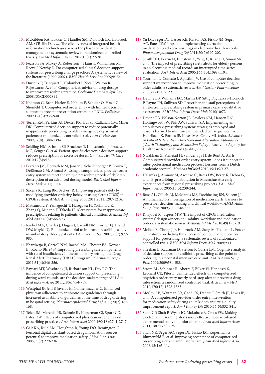- 104 McKibbon KA, Lokker C, Handler SM, Dolovich LR, Holbrook AM, O'Reilly D, *et al*. The effectiveness of integrated health information technologies across the phases of medication management: a systematic review of randomized controlled trials. *J Am Med Inform Assoc* 2012;19(1):22-30.
- 105 Pearson SA, Moxey A, Robertson J, Hains I, Williamson M, Reeve J, Newby D. Do computerised clinical decision support systems for prescribing change practice? A systematic review of the literature (1990-2007). *BMC Health Serv Res* 2009;9:154.
- 106 Durieux P, Trinquart L, Colombet I, Nies J, Walton R, Rajeswaran A, *et al*. Computerized advice on drug dosage to improve prescribing practice. *Cochrane Database Syst Rev* 2008;(3):CD002894.
- 107 Kadmon G, Bron-Harlev E, Nahum E, Schiller O, Haski G, Shonfeld T. Computerized order entry with limited decision support to prevent prescription errors in a PICU. *Pediatrics* 2009;124(3):935-940.
- 108 Terrell KM, Perkins AJ, Dexter PR, Hui SL, Callahan CM, Miller DK. Computerized decision support to reduce potentially inappropriate prescribing to older emergency department patients: a randomized, controlled trial. *J Am Geriatr Soc* 2009;57(8):1388-1394.
- 109 Seidling HM, Schmitt SP, Bruckner T, Kaltschmidt J, Pruszydlo MG, Senger C, *et al*. Patient-specific electronic decision support reduces prescription of excessive doses. *Qual Saf Health Care* 2010;19(5):e15.
- 110 Ferranti JM, Horvath MM, Jansen J, Schellenberger P, Brown T, DeRienzo CM, Ahmad A. Using a computerized provider order entry system to meet the unique prescribing needs of children: description of an advanced dosing model. *BMC Med Inform Decis Mak* 2011;11:14.
- 111 Saxena K, Lung BR, Becker JR. Improving patient safety by modifying provider ordering behavior using alerts (CDSS) in CPOE system. *AMIA Annu Symp Proc* 2011;2011:1207-1216.
- 112 Matsumura Y, Yamaguchi T, Hasegawa H, Yoshihara K, Zhang Q, Mineno T, Takeda H. Alert system for inappropriate prescriptions relating to patients' clinical condition. *Methods Inf Med* 2009;48(6):566-573.
- 113 Raebel MA, Charles J, Dugan J, Carroll NM, Korner EJ, Brand DW, Magid DJ. Randomized trial to improve prescribing safety in ambulatory elderly patients. *J Am Geriatr Soc* 2007;55(7):977- 985.
- 114 Bhardwaja B, Carroll NM, Raebel MA, Chester EA, Korner EJ, Rocho BE, *et al*. Improving prescribing safety in patients with renal insufficiency in the ambulatory setting: the Drug Renal Alert Pharmacy (DRAP) program. *Pharmacotherapy* 2011;31(4):346-356.
- 115 Baysari MT, Westbrook JI, Richardson KL, Day RO. The influence of computerized decision support on prescribing during ward-rounds: are the decision-makers targeted? *J Am Med Inform Assoc* 2011;18(6):754-759.
- 116 Westphal JF, Jehl F, Javelot H, Nonnenmacher C. Enhanced physician adherence to antibiotic use guidelines through increased availability of guidelines at the time of drug ordering in hospital setting. *Pharmacoepidemiol Drug Saf* 2011;20(2):162- 168.
- 117 Teich JM, Merchia PR, Schmiz JL, Kuperman GJ, Spurr CD, Bates DW. Effects of computerized physician order entry on prescribing practices. *Arch Intern Med* 2000;160(18):2741-2747.
- 118 Galt KA, Rule AM, Houghton B, Young DO, Remington G. Personal digital assistant-based drug information sources: potential to improve medication safety. *J Med Libr Assoc* 2005;93(2):229-236.
- 119 Yu DT, Seger DL, Lasser KE, Karson AS, Fiskio JM, Seger AC, Bates DW. Impact of implementing alerts about medication black-box warnings in electronic health records. *Pharmacoepidemiol Drug Saf* 2011;20(2):192-202.
- 120 Smith DH, Perrin N, Feldstein A, Yang X, Kuang D, Simon SR, *et al*. The impact of prescribing safety alerts for elderly persons in an electronic medical record: an interrupted time series evaluation. *Arch Intern Med* 2006;166(10):1098-1104.
- 121 Yourman L, Concato J, Agostini JV. Use of computer decision support interventions to improve medication prescribing in older adults: a systematic review. *Am J Geriatr Pharmacother* 2008;6(2):119-129.
- 122 Devine EB, Williams EC, Martin DP, Sittig DF, Tarczy-Hornoch P, Payne TH, Sullivan SD. Prescriber and staff perceptions of an electronic prescribing system in primary care: a qualitative assessment. *BMC Med Inform Decis Mak* 2010;10:72.
- 123 Devine EB, Wilson-Norton JL, Lawless NM, Hansen RN, Hollingworth W, Fisk AW, Sullivan SD. Implementing an ambulatory e-prescribing system: strategies employed and lessons learned to minimize unintended consequences. In: Henriksen K, Battles JB, Keyes MA, Grady ML (eds). *Advances in Patient Safety: New Directions and Alternative Approaches (Vol. 4: Technology and Medication Safety).* Rockville: Agency for Healthcare Research and Quality, 2008.
- 124 Niazkhani Z, Pirnejad H, van der Sijs H, de Bont A, Aarts J. Computerized provider order entry system - does it support the inter-professional medication process? Lessons from a Dutch academic hospital. *Methods Inf Med* 2010;49(1):20-27.
- 125 Halamka J, Aranow M, Ascenzo C, Bates DW, Berry K, Debor G, *et al*. E-prescribing collaboration in Massachusetts: early experiences from regional prescribing projects. *J Am Med Inform Assoc* 2006;13(3):239-244.
- 126 Russ AL, Zillich AJ, McManus MS, Doebbeling BN, Saleem JJ. A human factors investigation of medication alerts: barriers to prescriber decision-making and clinical workflow. *AMIA Annu Symp Proc* 2009;2009:548-552.
- 127 Khajouei R, Jaspers MW. The impact of CPOE medication systems' design aspects on usability, workflow and medication orders: a systematic review. *Methods Inf Med* 2010;49(1):3-19.
- 128 Mollon B, Chong J Jr, Holbrook AM, Sung M, Thabane L, Foster G. Features predicting the success of computerized decision support for prescribing: a systematic review of randomized controlled trials. *BMC Med Inform Decis Mak* 2009;9:11.
- 129 Sheehan B, Kaufman D, Stetson P, Currie LM. Cognitive analysis of decision support for antibiotic prescribing at the point of ordering in a neonatal intensive care unit. *AMIA Annu Symp Proc* 2009;2009:584-588.
- 130 Strom BL, Schinnar R, Aberra F, Bilker W, Hennessy S, Leonard CE, Pifer E. Unintended effects of a computerized physician order entry nearly hard-stop alert to prevent a drug interaction: a randomized controlled trial. *Arch Intern Med* 2010;170(17):1578-1583.
- 131 McCoy AB, Waitman LR, Gadd CS, Danciu I, Smith JP, Lewis JB, *et al*. A computerized provider order entry intervention for medication safety during acute kidney injury: a quality improvement report. *Am J Kidney Dis* 2010;56(5):832-841.
- 132 Scott GP, Shah P, Wyatt JC, Makubate B, Cross FW. Making electronic prescribing alerts more effective: scenario-based experimental study in junior doctors. *J Am Med Inform Assoc* 2011; 18(6):789-798.
- 133 Shah NR, Seger AC, Seger DL, Fiskio JM, Kuperman GJ, Blumenfeld B, *et al*. Improving acceptance of computerized prescribing alerts in ambulatory care. *J Am Med Inform Assoc* 2006;13(1):5-11.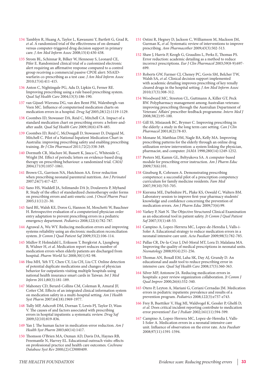- 134 Tamblyn R, Huang A, Taylor L, Kawasumi Y, Bartlett G, Grad R, *et al*. A randomized trial of the effectiveness of on-demand versus computer-triggered drug decision support in primary care. *J Am Med Inform Assoc* 2008;15(4):430-438.
- 135 Strom BL, Schinnar R, Bilker W, Hennessy S, Leonard CE, Pifer E. Randomized clinical trial of a customized electronic alert requiring an affirmative response compared to a control group receiving a commercial passive CPOE alert: NSAIDwarfarin co-prescribing as a test case. *J Am Med Inform Assoc* 2010;17(4):411-415.
- 136 Anton C, Nightingale PG, Adu D, Lipkin G, Ferner RE. Improving prescribing using a rule based prescribing system. *Qual Saf Health Care* 2004;13(3):186-190.
- 137 van Gijssel-Wiersma DG, van den Bemt PM, Walenbergh-van Veen MC. Influence of computerised medication charts on medication errors in a hospital. *Drug Saf* 2005;28(12):1119-1129.
- 138 Coombes ID, Stowasser DA, Reid C, Mitchell CA. Impact of a standard medication chart on prescribing errors: a before-andafter audit. *Qual Saf Health Care* 2009;18(6):478-485.
- 139 Coombes ID, Reid C, McDougall D, Stowasser D, Duiguid M, Mitchell C. Pilot of a National Inpatient Medication Chart in Australia: improving prescribing safety and enabling prescribing training. *Br J Clin Pharmacol* 2011;72(2):338-349.
- 140 Dormuth CR, Maclure M, Bassett K, Jauca C, Whiteside C, Wright JM. Effect of periodic letters on evidence-based drug therapy on prescribing behaviour: a randomized trial. *CMAJ* 2004;171(9):1057-1061.
- 141 Brown CL, Garrison NA, Hutchison AA. Error reduction when prescribing neonatal parenteral nutrition. *Am J Perinatol* 2007;24(7):417-427.
- 142 Sano HS, Waddell JA, Solimando DA Jr, Doulaveris P, Myhand R. Study of the effect of standardized chemotherapy order forms on prescribing errors and anti-emetic cost. *J Oncol Pharm Pract* 2005;11(1):21-30.
- 143 Sard BE, Walsh KE, Doros G, Hannon M, Moschetti W, Bauchner H. Retrospective evaluation of a computerized physician order entry adaptation to prevent prescribing errors in a pediatric emergency department. *Pediatrics* 2008;122(4):782-787.
- 144 Agrawal A, Wu WY. Reducing medication errors and improving systems reliability using an electronic medication reconciliation system. *Jt Comm J Qual Patient Saf* 2009;35(2):106-114.
- 145 Midlov P, Holmdahl L, Eriksson T, Bergkvist A, Ljungberg B, Widner H, *et al*. Medication report reduces number of medication errors when elderly patients are discharged from hospital. *Pharm World Sci* 2008;30(1):92-98.
- 146 Hsu MH, Yeh YT, Chen CY, Liu CH, Liu CT. Online detection of potential duplicate medications and changes of physician behavior for outpatients visiting multiple hospitals using national health insurance smart cards in Taiwan. *Int J Med Inform* 2011;80(3):181-189.
- 147 Mahoney CD, Berard-Collins CM, Coleman R, Amaral JF, Cotter CM. Effects of an integrated clinical information system on medication safety in a multi-hospital setting. *Am J Health Syst Pharm* 2007;64(18):1969-1977.
- 148 Tully MP, Ashcroft DM, Dornan T, Lewis PJ, Taylor D, Wass V. The causes of and factors associated with prescribing errors in hospital inpatients: a systematic review. *Drug Saf* 2009;32(10):819-836.
- 149 Yan J. The human factor in medication-error reduction. *Am J Health Syst Pharm* 2003;60(14):1417.
- 150 Thomson O'Brien MA, Oxman AD, Davis DA, Haynes RB, Freemantle N, Harvey EL. Educational outreach visits: effects on professional practice and health care outcomes. *Cochrane Database Syst Rev* 2000;(2):CD000409.
- 151 Ostini R, Hegney D, Jackson C, Williamson M, Mackson JM, Gurman K, *et al*. Systematic review of interventions to improve prescribing. *Ann Pharmacother* 2009;43(3):502-513.
- 152 Shaw J, Harris P, Keogh G, Graudins L, Perks E, Thomas PS. Error reduction: academic detailing as a method to reduce incorrect prescriptions. *Eur J Clin Pharmacol* 2003;59(8-9):697- 699.
- 153 Roberts GW, Farmer CJ, Cheney PC, Govis SM, Belcher TW, Walsh SA, *et al*. Clinical decision support implemented with academic detailing improves prescribing of key renally cleared drugs in the hospital setting. *J Am Med Inform Assoc* 2010;17(3):308-312.
- 154 Woodward MC, Streeton CL, Guttmann A, Killer GT, Peck RW. Polypharmacy management among Australian veterans: improving prescribing through the Australian Department of Veterans' Affairs' prescriber feedback programme. *Intern Med J* 2008;38(2):95-100.
- 155 Gill SS, Misiaszek BC, Brymer C. Improving prescribing in the elderly: a study in the long term care setting. *Can J Clin Pharmacol* 2001;8(2):78-83.
- 156 Monane M, Matthias DM, Nagle BA, Kelly MA. Improving prescribing patterns for the elderly through an online drug utilization review intervention: a system linking the physician, pharmacist, and computer. *JAMA* 1998;280(14):1249-1252.
- 157 Peeters MJ, Kamm GL, Beltyukova SA. A computer-based module for prescribing error instruction. *Am J Pharm Educ* 2009;73(6):101.
- 158 Ginzburg R, Cohrssen A. Demonstrating prescribing competence: a successful pilot of a prescription competency curriculum for family medicine residents. *Fam Med* 2007;39(10):703-705.
- 159 Kiersma ME, Darbishire PL, Plake KS, Oswald C, Walters BM. Laboratory session to improve first-year pharmacy students' knowledge and confidence concerning the prevention of medication errors. *Am J Pharm Educ* 2009;73(6):99.
- 160 Varkey P, Natt N. The Objective Structured Clinical Examination as an educational tool in patient safety. *Jt Comm J Qual Patient Saf* 2007;33(1):48-53.
- 161 Campino A, Lopez-Herrera MC, Lopez-de-Heredia I, Valls-i-Soler A. Educational strategy to reduce medication errors in a neonatal intensive care unit. *Acta Paediatr* 2009;98(5):782-785.
- 162 Pallas CR, De-la-Cruz J, Del-Moral MT, Lora D, Malalana MA. Improving the quality of medical prescriptions in neonatal units. *Neonatology* 2008;93(4):251-256.
- 163 Thomas AN, Boxall EM, Laha SK, Day AJ, Grundy D. An educational and audit tool to reduce prescribing error in intensive care. *Qual Saf Health Care* 2008;17(5):360-363.
- 164 Silver MP, Antonow JA. Reducing medication errors in hospitals: a peer review organization collaboration. *Jt Comm J Qual Improv* 2000;26(6):332-340.
- 165 Otero P, Leyton A, Mariani G, Ceriani Cernadas JM. Medication errors in pediatric inpatients: prevalence and results of a prevention program. *Pediatrics* 2008;122(3):e737-e743.
- 166 Frey B, Buettiker V, Hug MI, Waldvogel K, Gessler P, Ghelfi D, *et al*. Does critical incident reporting contribute to medication error prevention? *Eur J Pediatr* 2002;161(11):594-599.
- 167 Campino A, Lopez-Herrera MC, Lopez-de-Heredia I, Valls-I-Soler A. Medication errors in a neonatal intensive care unit. Influence of observation on the error rate. *Acta Paediatr* 2008;97(11):1591-1594.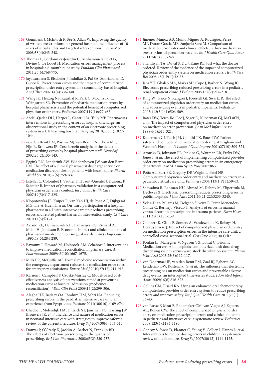- 168 Gommans J, McIntosh P, Bee S, Allan W. Improving the quality of written prescriptions in a general hospital: the influence of 10 years of serial audits and targeted interventions. Intern Med J 2008;38(4):243-248.
- 169 Thomas L, Cordonnier-Jourdin C, Benhamou-Jantelet G, Divine C, Le Louet H. Medication errors management process in hospital: a 6-month pilot study. *Fundam Clin Pharmacol* 2011;25(6):768-775.
- 170 Jayawardena S, Eisdorfer J, Indulkar S, Pal SA, Sooriabalan D, Cucco R. Prescription errors and the impact of computerized prescription order entry system in a community-based hospital. *Am J Ther* 2007;14(4):336-340.
- 171 Wang JK, Herzog NS, Kaushal R, Park C, Mochizuki C, Weingarten SR. Prevention of pediatric medication errors by hospital pharmacists and the potential benefit of computerized physician order entry. *Pediatrics* 2007;119(1):e77-e85.
- 172 Abdel-Qader DH, Harper L, Cantrill JA, Tully MP. Pharmacists' interventions in prescribing errors at hospital discharge: an observational study in the context of an electronic prescribing system in a UK teaching hospital. *Drug Saf* 2010;33(11):1027- 1044.
- 173 van den Bemt PM, Postma MJ, van Roon EN, Chow MC, Fijn R, Brouwers JR. Cost-benefit analysis of the detection of prescribing errors by hospital pharmacy staff. *Drug Saf* 2002;25(2):135-143.
- 174 Eggink RN, Lenderink AW, Widdershoven JW, van den Bemt PM. The effect of a clinical pharmacist discharge service on medication discrepancies in patients with heart failure. *Pharm World Sci* 2010;32(6):759-766.
- 175 Estellat C, Colombet I, Vautier S, Huault-Quentel J, Durieux P, Sabatier B. Impact of pharmacy validation in a computerized physician order entry context. *Int J Qual Health Care* 2007;19(5):317-325.
- 176 Klopotowska JE, Kuiper R, van Kan HJ, de Pont AC, Dijkgraaf MG, Lie-A-Huen L, *et al*. On-ward participation of a hospital pharmacist in a Dutch intensive care unit reduces prescribing errors and related patient harm: an intervention study. *Crit Care* 2010;14(5):R174.
- 177 Ariano RE, Demianczuk RH, Danzinger RG, Richard A, Milan H, Jamieson B. Economic impact and clinical benefits of pharmacist involvement on surgical wards. *Can J Hosp Pharm* 1995;48(5):284-289.
- 178 Bayoumi I, Howard M, Holbrook AM, Schabort I. Interventions to improve medication reconciliation in primary care. *Ann Pharmacother* 2009;43(10):1667-1675.
- 179 Mills PR, McGuffie AC. Formal medicine reconciliation within the emergency department reduces the medication error rates for emergency admissions. *Emerg Med J* 2010;27(12):911-915.
- 180 Karnon J, Campbell F, Czoski-Murray C. Model-based costeffectiveness analysis of interventions aimed at preventing medication error at hospital admission (medicines reconciliation). *J Eval Clin Pract* 2009;15(2):299-306.
- 181 Alagha HZ, Badary OA, Ibrahim HM, Sabri NA. Reducing prescribing errors in the paediatric intensive care unit: an experience from Egypt. *Acta Paediatr* 2011;100(10):e169-e74.
- 182 Chedoe I, Molendijk HA, Dittrich ST, Jansman FG, Harting JW, Brouwers JR, *et al*. Incidence and nature of medication errors in neonatal intensive care with strategies to improve safety: a review of the current literature. *Drug Saf* 2007;30(6):503-513.
- 183 Donyai P, O'Grady K, Jacklin A, Barber N, Franklin BD. The effects of electronic prescribing on the quality of prescribing. *Br J Clin Pharmacol* 2008;65(2):230-237.
- 184 Jimenez Munoz AB, Muino Miguez A, Rodriguez Perez MP, Duran Garcia ME, Sanjurjo Saez M. Comparison of medication error rates and clinical effects in three medication prescription-dispensation systems. *Int J Health Care Qual Assur* 2011;24(3):238-248.
- 185 Shamliyan TA, Duval S, Du J, Kane RL. Just what the doctor ordered. Review of the evidence of the impact of computerized physician order entry system on medication errors. *Health Serv Res* 2008;43(1 Pt 1):32-53.
- 186 Jani YH, Ghaleb MA, Marks SD, Cope J, Barber N, Wong IC. Electronic prescribing reduced prescribing errors in a pediatric renal outpatient clinic. *J Pediatr* 2008;152(2):214-218.
- 187 King WJ, Paice N, Rangrej J, Forestell GJ, Swartz R. The effect of computerized physician order entry on medication errors and adverse drug events in pediatric inpatients. Pediatrics 2003;112(3 Pt 1):506-509.
- 188 Bates DW, Teich JM, Lee J, Seger D, Kuperman GJ, Ma'Luf N, *et al*. The impact of computerized physician order entry on medication error prevention. *J Am Med Inform Assoc* 1999;6(4):313-321.
- 189 Kuperman GJ, Teich JM, Gandhi TK, Bates DW. Patient safety and computerized medication ordering at Brigham and Women's Hospital. *Jt Comm J Qual Improv* 2001;27(10):509-521.
- 190 Aronsky D, Johnston PE, Jenkins G, Waitman LR, Frelix DW, Jones I, *et al*. The effect of implementing computerized provider order entry on medication prescribing errors in an emergency department. *AMIA Annu Symp Proc* 2007:863.
- 191 Potts AL, Barr FE, Gregory DF, Wright L, Patel NR. Computerized physician order entry and medication errors in a pediatric critical care unit. *Pediatrics* 2004;113(1 Pt 1):59-63.
- 192 Shawahna R, Rahman NU, Ahmad M, Debray M, Yliperttula M, Decleves X. Electronic prescribing reduces prescribing error in public hospitals. *J Clin Nurs* 2011;20(21-22):3233-3245.
- 193 Velez-Diaz-Pallares M, Delgado Silveira E, Perez Menendez-Conde C, Bermejo Vicedo T. Analysis of errors in manual versus electronic prescriptions in trauma patients. *Farm Hosp* 2011;35(3):135-139.
- 194 Colpaert K, Claus B, Somers A, Vandewoude K, Robays H, Decruyenaere J. Impact of computerized physician order entry on medication prescription errors in the intensive care unit: a controlled cross-sectional trial. *Crit Care* 2006;10(1):R21.
- 195 Fontan JE, Maneglier V, Nguyen VX, Loirat C, Brion F. Medication errors in hospitals: computerized unit dose drug dispensing system versus ward stock distribution system. *Pharm World Sci* 2003;25(3):112-117.
- 196 van Doormaal JE, van den Bemt PM, Zaal RJ, Egberts AC, Lenderink BW, Kosterink JG, *et al*. The influence that electronic prescribing has on medication errors and preventable adverse drug events: an interrupted time-series study. *J Am Med Inform Assoc* 2009;16(6):816-825.
- 197 Collins CM, Elsaid KA. Using an enhanced oral chemotherapy computerized provider order entry system to reduce prescribing errors and improve safety. *Int J Qual Health Care* 2011;23(1): 36-43.
- 198 van Rosse F, Maat B, Rademaker CM, van Vught AJ, Egberts AC, Bollen CW. The effect of computerized physician order entry on medication prescription errors and clinical outcome in pediatric and intensive care: a systematic review. *Pediatrics* 2009;123(4):1184-1190.
- 199 Conroy S, Sweis D, Planner C, Yeung V, Collier J, Haines L, *et al*. Interventions to reduce dosing errors in children: a systematic review of the literature. *Drug Saf* 2007;30(12):1111-1125.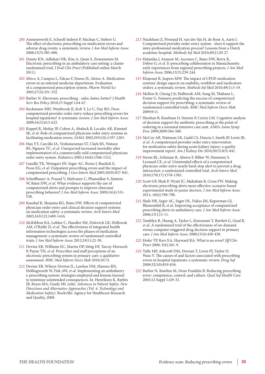- 200 Ammenwerth E, Schnell-Inderst P, Machan C, Siebert U. The effect of electronic prescribing on medication errors and adverse drug events: a systematic review. *J Am Med Inform Assoc* 2008;15(5):585-600.
- 201 Dainty KN, Adhikari NK, Kiss A, Quan S, Zwarenstein M. Electronic prescribing in an ambulatory care setting: a cluster randomized trial. *J Eval Clin Pract* (Published online March 2011).
- 202 Mirco A, Campos L, Falcao F, Nunes JS, Aleixo A. Medication errors in an internal medicine department. Evaluation of a computerized prescription system. *Pharm World Sci* 2005;27(4):351-352.
- 203 Barber N. Electronic prescribing safer, faster, better? *J Health Serv Res Policy* 2010;15 Suppl 1:64-67.
- 204 Reckmann MH, Westbrook JI, Koh Y, Lo C, Day RO. Does computerized provider order entry reduce prescribing errors for hospital inpatients? A systematic review. *J Am Med Inform Assoc* 2009;16(5):613-623.
- 205 Koppel R, Metlay JP, Cohen A, Abaluck B, Localio AR, Kimmel SE, *et al*. Role of computerized physician order entry systems in facilitating medication errors. *JAMA* 2005;293(10):1197-1203.
- 206 Han YY, Carcillo JA, Venkataraman ST, Clark RS, Watson RS, Nguyen TC, *et al*. Unexpected increased mortality after implementation of a commercially sold computerized physician order entry system. *Pediatrics* 2005;116(6):1506-1512.
- 207 Gandhi TK, Weingart SN, Seger AC, Borus J, Burdick E, Poon EG, *et al*. Outpatient prescribing errors and the impact of computerized prescribing. *J Gen Intern Med* 2005;20(9):837-841.
- 208 Schedlbauer A, Prasad V, Mulvaney C, Phansalkar S, Stanton W, Bates DW, *et al*. What evidence supports the use of computerized alerts and prompts to improve clinicians' prescribing behavior? *J Am Med Inform Assoc* 2009;16(4):531- 538.
- 209 Kaushal R, Shojania KG, Bates DW. Effects of computerized physician order entry and clinical decision support systems on medication safety: a systematic review. *Arch Intern Med* 2003;163(12):1409-1416.
- 210 McKibbon KA, Lokker C, Handler SM, Dolovich LR, Holbrook AM, O'Reilly D, *et al*. The effectiveness of integrated health information technologies across the phases of medication management: a systematic review of randomized controlled trials. *J Am Med Inform Assoc* 2012;19(1):22-30.
- 211 Devine EB, Williams EC, Martin DP, Sittig DF, Tarczy-Hornoch P, Payne TH, *et al*. Prescriber and staff perceptions of an electronic prescribing system in primary care: a qualitative assessment. *BMC Med Inform Decis Mak* 2010;10:72.
- 212 Devine EB, Wilson-Norton JL, Lawless NM, Hansen RN, Hollingworth W, Fisk AW, *et al*. Implementing an ambulatory e-prescribing system: strategies employed and lessons learned to minimize unintended consequences. In: Henriksen K, Battles JB, Keyes MA, Grady ML (eds). *Advances in Patient Safety: New Directions and Alternative Approaches (Vol. 4: Technology and Medication Safety).* Rockville: Agency for Healthcare Research and Quality, 2008.
- 213 Niazkhani Z, Pirnejad H, van der Sijs H, de Bont A, Aarts J. Computerized provider order entry system - does it support the inter-professional medication process? Lessons from a Dutch academic hospital. *Methods Inf Med* 2010;49(1):20-27.
- 214 Halamka J, Aranow M, Ascenzo C, Bates DW, Berry K, Debor G, *et al*. E-prescribing collaboration in Massachusetts: early experiences from regional prescribing projects. *J Am Med Inform Assoc* 2006;13(3):239-244.
- 215 Khajouei R, Jaspers MW. The impact of CPOE medication systems' design aspects on usability, workflow and medication orders: a systematic review. *Methods Inf Med* 2010;49(1):3-19.
- 216 Mollon B, Chong J Jr, Holbrook AM, Sung M, Thabane L, Foster G. Features predicting the success of computerized decision support for prescribing: a systematic review of randomized controlled trials. *BMC Med Inform Decis Mak* 2009;9:11.
- 217 Sheehan B, Kaufman D, Stetson P, Currie LM. Cognitive analysis of decision support for antibiotic prescribing at the point of ordering in a neonatal intensive care unit. *AMIA Annu Symp Proc* 2009;2009:584-588.
- 218 McCoy AB, Waitman LR, Gadd CS, Danciu I, Smith JP, Lewis JB, *et al*. A computerized provider order entry intervention for medication safety during acute kidney injury: a quality improvement report. *Am J Kidney Dis* 2010;56(5):832-841.
- 219 Strom BL, Schinnar R, Aberra F, Bilker W, Hennessy S, Leonard CE, *et al*. Unintended effects of a computerized physician order entry nearly hard-stop alert to prevent a drug interaction: a randomized controlled trial. *Arch Intern Med* 2010;170(17):1578-1583.
- 220 Scott GP, Shah P, Wyatt JC, Makubate B, Cross FW. Making electronic prescribing alerts more effective: scenario-based experimental study in junior doctors. *J Am Med Inform Assoc* 2011; 18(6):789-798.
- 221 Shah NR, Seger AC, Seger DL, Fiskio JM, Kuperman GJ, Blumenfeld B, *et al*. Improving acceptance of computerized prescribing alerts in ambulatory care. *J Am Med Inform Assoc* 2006;13(1):5-11.
- 222 Tamblyn R, Huang A, Taylor L, Kawasumi Y, Bartlett G, Grad R, *et al*. A randomized trial of the effectiveness of on-demand versus computer-triggered drug decision support in primary care. *J Am Med Inform Assoc* 2008;15(4):430-438.
- 223 Hofer TP, Kerr EA, Hayward RA. What is an error? *Eff Clin Pract* 2000; 3(6):261-9.
- 224 Tully MP, Ashcroft DM, Dornan T, Lewis PJ, Taylor D, Wass V. The causes of and factors associated with prescribing errors in hospital inpatients: a systematic review. *Drug Saf* 2009;32(10):819-836.
- 225 Barber N, Rawlins M, Dean Franklin B. Reducing prescribing error: competence, control, and culture. *Qual Saf Health Care* 2003;12 Suppl 1:i29-32.